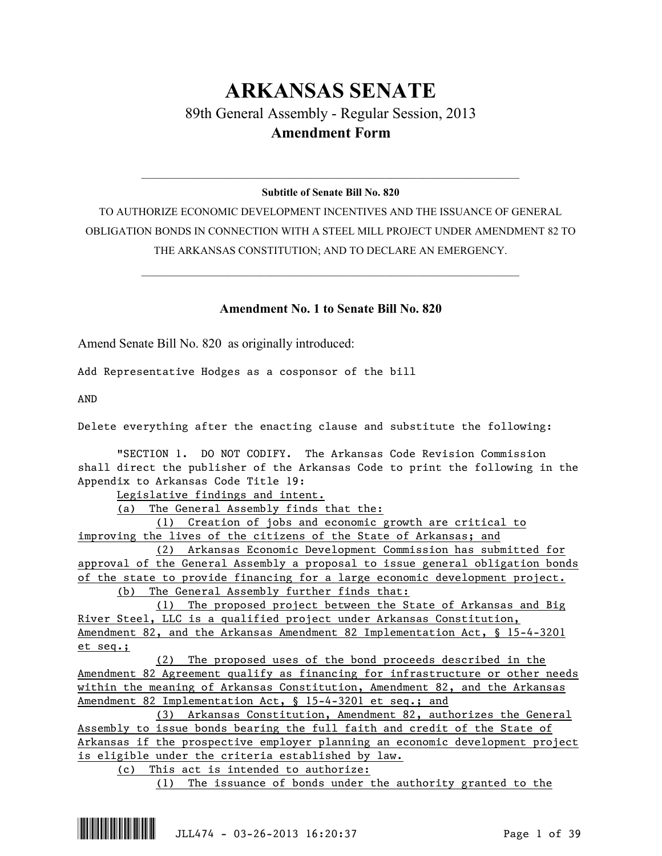# **ARKANSAS SENATE** 89th General Assembly - Regular Session, 2013 **Amendment Form**

## $\mathcal{L}_\mathcal{L} = \mathcal{L}_\mathcal{L} = \mathcal{L}_\mathcal{L} = \mathcal{L}_\mathcal{L} = \mathcal{L}_\mathcal{L} = \mathcal{L}_\mathcal{L} = \mathcal{L}_\mathcal{L} = \mathcal{L}_\mathcal{L} = \mathcal{L}_\mathcal{L} = \mathcal{L}_\mathcal{L} = \mathcal{L}_\mathcal{L} = \mathcal{L}_\mathcal{L} = \mathcal{L}_\mathcal{L} = \mathcal{L}_\mathcal{L} = \mathcal{L}_\mathcal{L} = \mathcal{L}_\mathcal{L} = \mathcal{L}_\mathcal{L}$ **Subtitle of Senate Bill No. 820**

TO AUTHORIZE ECONOMIC DEVELOPMENT INCENTIVES AND THE ISSUANCE OF GENERAL OBLIGATION BONDS IN CONNECTION WITH A STEEL MILL PROJECT UNDER AMENDMENT 82 TO THE ARKANSAS CONSTITUTION; AND TO DECLARE AN EMERGENCY.

 $\mathcal{L}_\mathcal{L} = \mathcal{L}_\mathcal{L} = \mathcal{L}_\mathcal{L} = \mathcal{L}_\mathcal{L} = \mathcal{L}_\mathcal{L} = \mathcal{L}_\mathcal{L} = \mathcal{L}_\mathcal{L} = \mathcal{L}_\mathcal{L} = \mathcal{L}_\mathcal{L} = \mathcal{L}_\mathcal{L} = \mathcal{L}_\mathcal{L} = \mathcal{L}_\mathcal{L} = \mathcal{L}_\mathcal{L} = \mathcal{L}_\mathcal{L} = \mathcal{L}_\mathcal{L} = \mathcal{L}_\mathcal{L} = \mathcal{L}_\mathcal{L}$ 

## **Amendment No. 1 to Senate Bill No. 820**

Amend Senate Bill No. 820 as originally introduced:

Add Representative Hodges as a cosponsor of the bill

AND

Delete everything after the enacting clause and substitute the following:

"SECTION 1. DO NOT CODIFY. The Arkansas Code Revision Commission shall direct the publisher of the Arkansas Code to print the following in the Appendix to Arkansas Code Title 19:

Legislative findings and intent.

(a) The General Assembly finds that the:

(1) Creation of jobs and economic growth are critical to improving the lives of the citizens of the State of Arkansas; and

(2) Arkansas Economic Development Commission has submitted for approval of the General Assembly a proposal to issue general obligation bonds of the state to provide financing for a large economic development project. (b) The General Assembly further finds that:

(1) The proposed project between the State of Arkansas and Big River Steel, LLC is a qualified project under Arkansas Constitution, Amendment 82, and the Arkansas Amendment 82 Implementation Act, § 15-4-3201 et seq.;

(2) The proposed uses of the bond proceeds described in the Amendment 82 Agreement qualify as financing for infrastructure or other needs within the meaning of Arkansas Constitution, Amendment 82, and the Arkansas Amendment 82 Implementation Act, § 15-4-3201 et seq.; and

(3) Arkansas Constitution, Amendment 82, authorizes the General Assembly to issue bonds bearing the full faith and credit of the State of Arkansas if the prospective employer planning an economic development project is eligible under the criteria established by law.

(c) This act is intended to authorize:

(1) The issuance of bonds under the authority granted to the

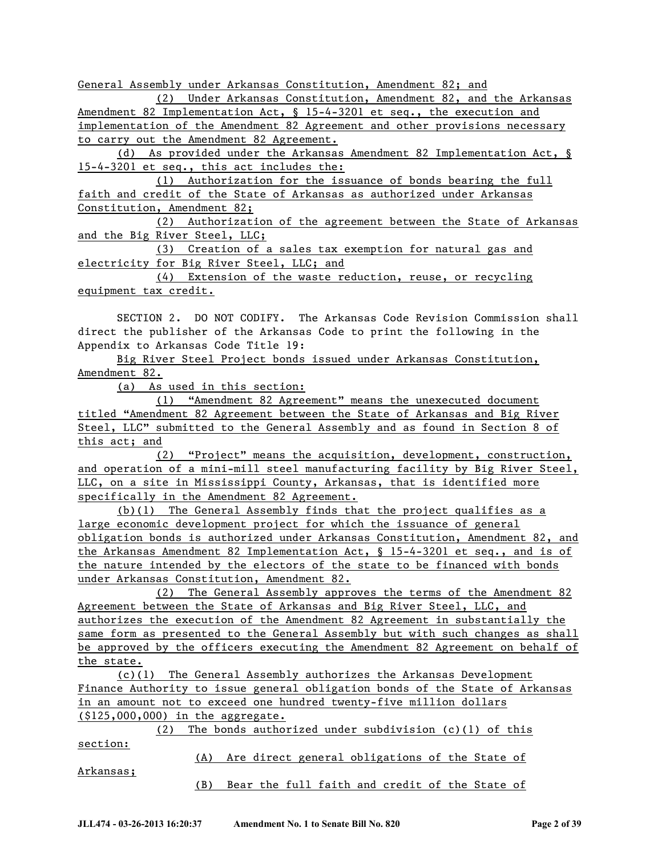General Assembly under Arkansas Constitution, Amendment 82; and

(2) Under Arkansas Constitution, Amendment 82, and the Arkansas Amendment 82 Implementation Act, § 15-4-3201 et seq., the execution and implementation of the Amendment 82 Agreement and other provisions necessary to carry out the Amendment 82 Agreement.

(d) As provided under the Arkansas Amendment 82 Implementation Act, § 15-4-3201 et seq., this act includes the:

(1) Authorization for the issuance of bonds bearing the full faith and credit of the State of Arkansas as authorized under Arkansas Constitution, Amendment 82;

(2) Authorization of the agreement between the State of Arkansas and the Big River Steel, LLC;

(3) Creation of a sales tax exemption for natural gas and electricity for Big River Steel, LLC; and

(4) Extension of the waste reduction, reuse, or recycling equipment tax credit.

SECTION 2. DO NOT CODIFY. The Arkansas Code Revision Commission shall direct the publisher of the Arkansas Code to print the following in the Appendix to Arkansas Code Title 19:

Big River Steel Project bonds issued under Arkansas Constitution, Amendment 82.

(a) As used in this section:

(1) "Amendment 82 Agreement" means the unexecuted document titled "Amendment 82 Agreement between the State of Arkansas and Big River Steel, LLC" submitted to the General Assembly and as found in Section 8 of this act; and

(2) "Project" means the acquisition, development, construction, and operation of a mini-mill steel manufacturing facility by Big River Steel, LLC, on a site in Mississippi County, Arkansas, that is identified more specifically in the Amendment 82 Agreement.

(b)(1) The General Assembly finds that the project qualifies as a large economic development project for which the issuance of general obligation bonds is authorized under Arkansas Constitution, Amendment 82, and the Arkansas Amendment 82 Implementation Act, § 15-4-3201 et seq., and is of the nature intended by the electors of the state to be financed with bonds under Arkansas Constitution, Amendment 82.

(2) The General Assembly approves the terms of the Amendment 82 Agreement between the State of Arkansas and Big River Steel, LLC, and authorizes the execution of the Amendment 82 Agreement in substantially the same form as presented to the General Assembly but with such changes as shall be approved by the officers executing the Amendment 82 Agreement on behalf of the state.

(c)(1) The General Assembly authorizes the Arkansas Development Finance Authority to issue general obligation bonds of the State of Arkansas in an amount not to exceed one hundred twenty-five million dollars (\$125,000,000) in the aggregate.

(2) The bonds authorized under subdivision (c)(1) of this section:

Arkansas;

(A) Are direct general obligations of the State of

(B) Bear the full faith and credit of the State of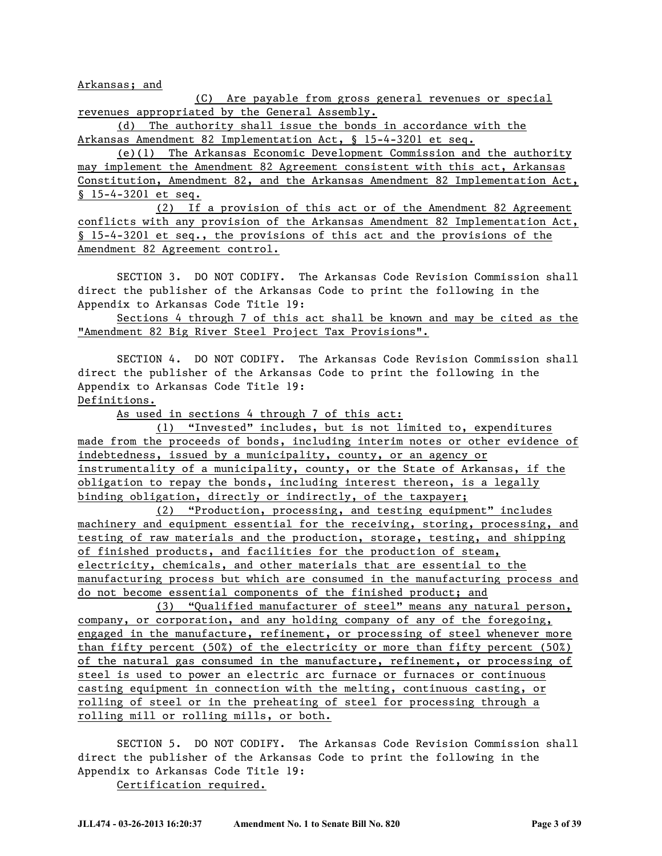Arkansas; and

(C) Are payable from gross general revenues or special revenues appropriated by the General Assembly.

(d) The authority shall issue the bonds in accordance with the Arkansas Amendment 82 Implementation Act, § 15-4-3201 et seq.

(e)(1) The Arkansas Economic Development Commission and the authority may implement the Amendment 82 Agreement consistent with this act, Arkansas Constitution, Amendment 82, and the Arkansas Amendment 82 Implementation Act, § 15-4-3201 et seq.

(2) If a provision of this act or of the Amendment 82 Agreement conflicts with any provision of the Arkansas Amendment 82 Implementation Act, § 15-4-3201 et seq., the provisions of this act and the provisions of the Amendment 82 Agreement control.

SECTION 3. DO NOT CODIFY. The Arkansas Code Revision Commission shall direct the publisher of the Arkansas Code to print the following in the Appendix to Arkansas Code Title 19:

Sections 4 through 7 of this act shall be known and may be cited as the "Amendment 82 Big River Steel Project Tax Provisions".

SECTION 4. DO NOT CODIFY. The Arkansas Code Revision Commission shall direct the publisher of the Arkansas Code to print the following in the Appendix to Arkansas Code Title 19:

Definitions.

As used in sections 4 through 7 of this act:

(1) "Invested" includes, but is not limited to, expenditures made from the proceeds of bonds, including interim notes or other evidence of indebtedness, issued by a municipality, county, or an agency or instrumentality of a municipality, county, or the State of Arkansas, if the obligation to repay the bonds, including interest thereon, is a legally binding obligation, directly or indirectly, of the taxpayer;

(2) "Production, processing, and testing equipment" includes machinery and equipment essential for the receiving, storing, processing, and testing of raw materials and the production, storage, testing, and shipping of finished products, and facilities for the production of steam, electricity, chemicals, and other materials that are essential to the manufacturing process but which are consumed in the manufacturing process and do not become essential components of the finished product; and

(3) "Qualified manufacturer of steel" means any natural person, company, or corporation, and any holding company of any of the foregoing, engaged in the manufacture, refinement, or processing of steel whenever more than fifty percent (50%) of the electricity or more than fifty percent (50%) of the natural gas consumed in the manufacture, refinement, or processing of steel is used to power an electric arc furnace or furnaces or continuous casting equipment in connection with the melting, continuous casting, or rolling of steel or in the preheating of steel for processing through a rolling mill or rolling mills, or both.

SECTION 5. DO NOT CODIFY. The Arkansas Code Revision Commission shall direct the publisher of the Arkansas Code to print the following in the Appendix to Arkansas Code Title 19:

Certification required.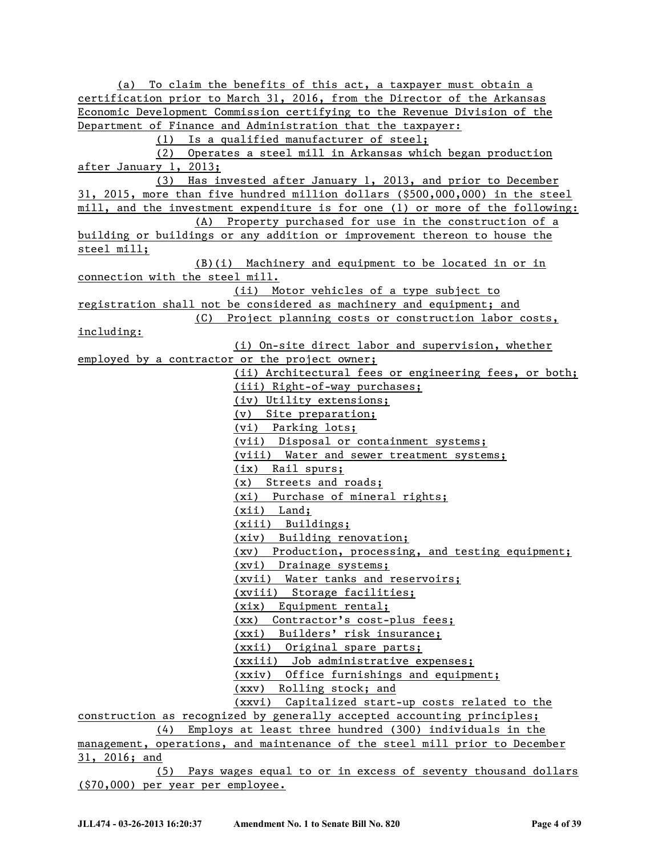(a) To claim the benefits of this act, a taxpayer must obtain a certification prior to March 31, 2016, from the Director of the Arkansas Economic Development Commission certifying to the Revenue Division of the Department of Finance and Administration that the taxpayer: (1) Is a qualified manufacturer of steel; (2) Operates a steel mill in Arkansas which began production after January 1, 2013; (3) Has invested after January 1, 2013, and prior to December 31, 2015, more than five hundred million dollars (\$500,000,000) in the steel mill, and the investment expenditure is for one (1) or more of the following: (A) Property purchased for use in the construction of a building or buildings or any addition or improvement thereon to house the steel mill; (B)(i) Machinery and equipment to be located in or in connection with the steel mill. (ii) Motor vehicles of a type subject to registration shall not be considered as machinery and equipment; and (C) Project planning costs or construction labor costs, including: (i) On-site direct labor and supervision, whether employed by a contractor or the project owner; (ii) Architectural fees or engineering fees, or both; (iii) Right-of-way purchases; (iv) Utility extensions; (v) Site preparation; (vi) Parking lots; (vii) Disposal or containment systems; (viii) Water and sewer treatment systems; (ix) Rail spurs; (x) Streets and roads; (xi) Purchase of mineral rights; (xii) Land; (xiii) Buildings; (xiv) Building renovation; (xv) Production, processing, and testing equipment; (xvi) Drainage systems; (xvii) Water tanks and reservoirs; (xviii) Storage facilities; (xix) Equipment rental; (xx) Contractor's cost-plus fees; (xxi) Builders' risk insurance; (xxii) Original spare parts; (xxiii) Job administrative expenses; (xxiv) Office furnishings and equipment; (xxv) Rolling stock; and (xxvi) Capitalized start-up costs related to the construction as recognized by generally accepted accounting principles; (4) Employs at least three hundred (300) individuals in the management, operations, and maintenance of the steel mill prior to December 31, 2016; and (5) Pays wages equal to or in excess of seventy thousand dollars (\$70,000) per year per employee.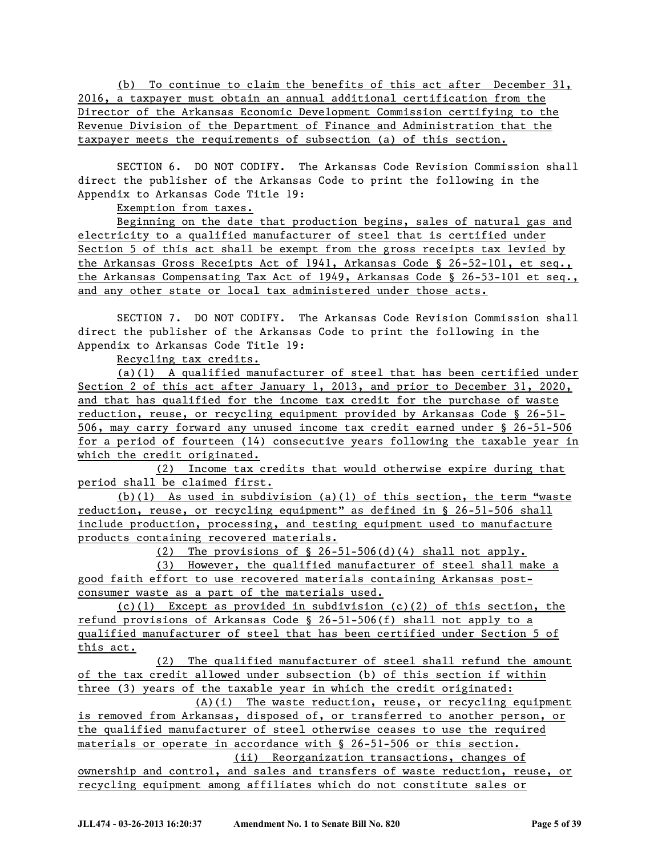(b) To continue to claim the benefits of this act after December 31, 2016, a taxpayer must obtain an annual additional certification from the Director of the Arkansas Economic Development Commission certifying to the Revenue Division of the Department of Finance and Administration that the taxpayer meets the requirements of subsection (a) of this section.

SECTION 6. DO NOT CODIFY. The Arkansas Code Revision Commission shall direct the publisher of the Arkansas Code to print the following in the Appendix to Arkansas Code Title 19:

Exemption from taxes.

Beginning on the date that production begins, sales of natural gas and electricity to a qualified manufacturer of steel that is certified under Section 5 of this act shall be exempt from the gross receipts tax levied by the Arkansas Gross Receipts Act of 1941, Arkansas Code § 26-52-101, et seq., the Arkansas Compensating Tax Act of 1949, Arkansas Code § 26-53-101 et seq., and any other state or local tax administered under those acts.

SECTION 7. DO NOT CODIFY. The Arkansas Code Revision Commission shall direct the publisher of the Arkansas Code to print the following in the Appendix to Arkansas Code Title 19:

Recycling tax credits.

(a)(1) A qualified manufacturer of steel that has been certified under Section 2 of this act after January 1, 2013, and prior to December 31, 2020, and that has qualified for the income tax credit for the purchase of waste reduction, reuse, or recycling equipment provided by Arkansas Code § 26-51- 506, may carry forward any unused income tax credit earned under § 26-51-506 for a period of fourteen (14) consecutive years following the taxable year in which the credit originated.

(2) Income tax credits that would otherwise expire during that period shall be claimed first.

(b)(1) As used in subdivision (a)(1) of this section, the term "waste reduction, reuse, or recycling equipment" as defined in § 26-51-506 shall include production, processing, and testing equipment used to manufacture products containing recovered materials.

(2) The provisions of § 26-51-506(d)(4) shall not apply.

(3) However, the qualified manufacturer of steel shall make a good faith effort to use recovered materials containing Arkansas postconsumer waste as a part of the materials used.

 $(c)(1)$  Except as provided in subdivision  $(c)(2)$  of this section, the refund provisions of Arkansas Code § 26-51-506(f) shall not apply to a qualified manufacturer of steel that has been certified under Section 5 of this act.

(2) The qualified manufacturer of steel shall refund the amount of the tax credit allowed under subsection (b) of this section if within three (3) years of the taxable year in which the credit originated:

(A)(i) The waste reduction, reuse, or recycling equipment is removed from Arkansas, disposed of, or transferred to another person, or the qualified manufacturer of steel otherwise ceases to use the required materials or operate in accordance with § 26-51-506 or this section. (ii) Reorganization transactions, changes of

ownership and control, and sales and transfers of waste reduction, reuse, or recycling equipment among affiliates which do not constitute sales or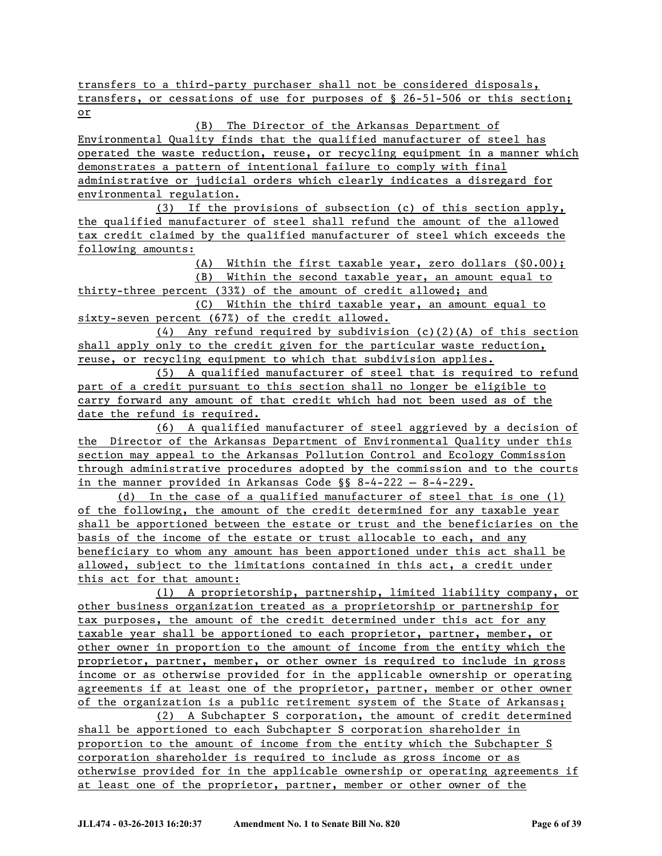transfers to a third-party purchaser shall not be considered disposals, transfers, or cessations of use for purposes of § 26-51-506 or this section; or

## (B) The Director of the Arkansas Department of

Environmental Quality finds that the qualified manufacturer of steel has operated the waste reduction, reuse, or recycling equipment in a manner which demonstrates a pattern of intentional failure to comply with final administrative or judicial orders which clearly indicates a disregard for environmental regulation.

(3) If the provisions of subsection (c) of this section apply, the qualified manufacturer of steel shall refund the amount of the allowed tax credit claimed by the qualified manufacturer of steel which exceeds the following amounts:

(A) Within the first taxable year, zero dollars (\$0.00);

(B) Within the second taxable year, an amount equal to thirty-three percent (33%) of the amount of credit allowed; and

(C) Within the third taxable year, an amount equal to sixty-seven percent (67%) of the credit allowed.

 $(4)$  Any refund required by subdivision  $(c)(2)(A)$  of this section shall apply only to the credit given for the particular waste reduction, reuse, or recycling equipment to which that subdivision applies.

(5) A qualified manufacturer of steel that is required to refund part of a credit pursuant to this section shall no longer be eligible to carry forward any amount of that credit which had not been used as of the date the refund is required.

(6) A qualified manufacturer of steel aggrieved by a decision of the Director of the Arkansas Department of Environmental Quality under this section may appeal to the Arkansas Pollution Control and Ecology Commission through administrative procedures adopted by the commission and to the courts in the manner provided in Arkansas Code §§ 8-4-222 — 8-4-229.

(d) In the case of a qualified manufacturer of steel that is one (1) of the following, the amount of the credit determined for any taxable year shall be apportioned between the estate or trust and the beneficiaries on the basis of the income of the estate or trust allocable to each, and any beneficiary to whom any amount has been apportioned under this act shall be allowed, subject to the limitations contained in this act, a credit under this act for that amount:

(1) A proprietorship, partnership, limited liability company, or other business organization treated as a proprietorship or partnership for tax purposes, the amount of the credit determined under this act for any taxable year shall be apportioned to each proprietor, partner, member, or other owner in proportion to the amount of income from the entity which the proprietor, partner, member, or other owner is required to include in gross income or as otherwise provided for in the applicable ownership or operating agreements if at least one of the proprietor, partner, member or other owner of the organization is a public retirement system of the State of Arkansas;

(2) A Subchapter S corporation, the amount of credit determined shall be apportioned to each Subchapter S corporation shareholder in proportion to the amount of income from the entity which the Subchapter S corporation shareholder is required to include as gross income or as otherwise provided for in the applicable ownership or operating agreements if at least one of the proprietor, partner, member or other owner of the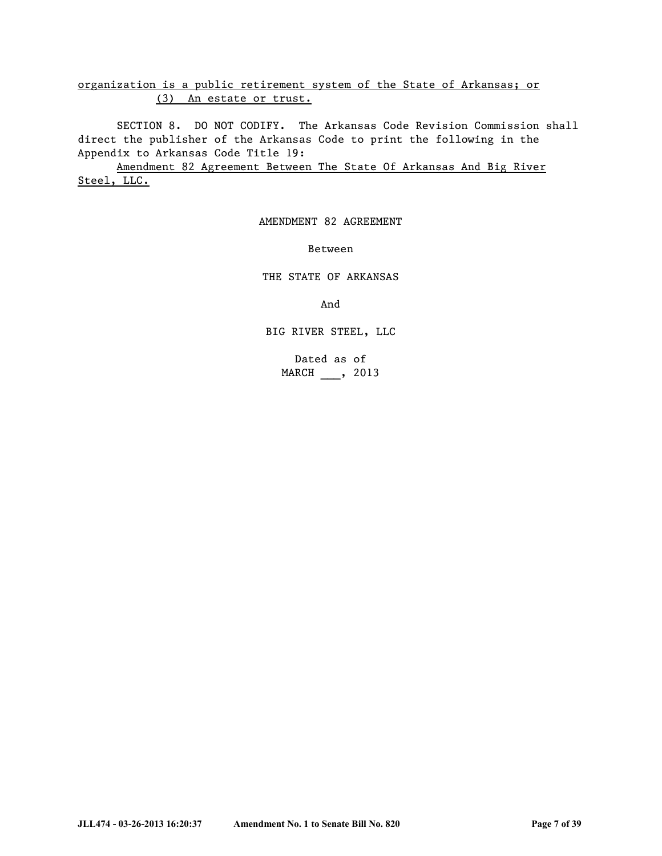organization is a public retirement system of the State of Arkansas; or (3) An estate or trust.

SECTION 8. DO NOT CODIFY. The Arkansas Code Revision Commission shall direct the publisher of the Arkansas Code to print the following in the Appendix to Arkansas Code Title 19:

Amendment 82 Agreement Between The State Of Arkansas And Big River Steel, LLC.

AMENDMENT 82 AGREEMENT

Between

THE STATE OF ARKANSAS

And

BIG RIVER STEEL, LLC

Dated as of MARCH , 2013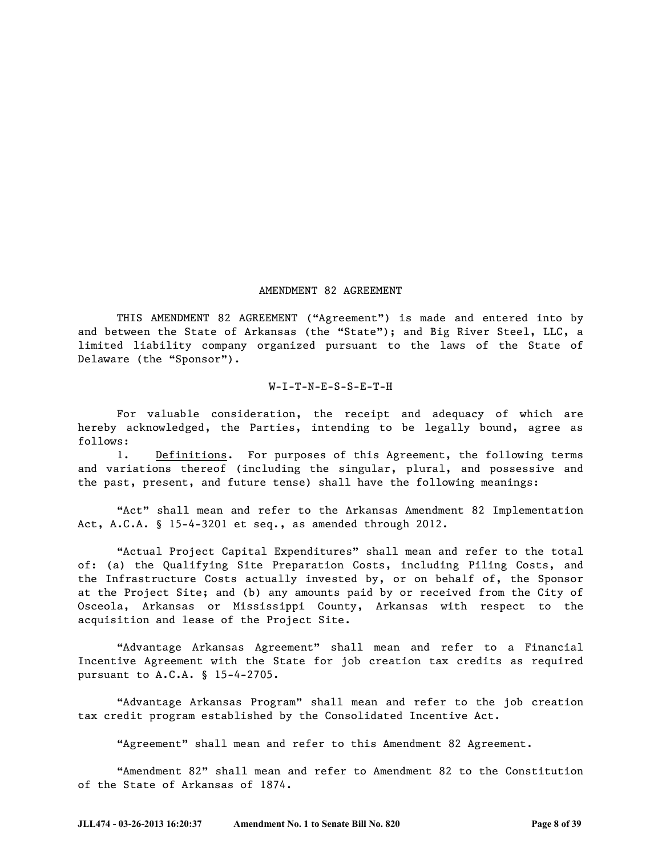#### AMENDMENT 82 AGREEMENT

THIS AMENDMENT 82 AGREEMENT ("Agreement") is made and entered into by and between the State of Arkansas (the "State"); and Big River Steel, LLC, a limited liability company organized pursuant to the laws of the State of Delaware (the "Sponsor").

#### W-I-T-N-E-S-S-E-T-H

For valuable consideration, the receipt and adequacy of which are hereby acknowledged, the Parties, intending to be legally bound, agree as follows:

1. Definitions. For purposes of this Agreement, the following terms and variations thereof (including the singular, plural, and possessive and the past, present, and future tense) shall have the following meanings:

"Act" shall mean and refer to the Arkansas Amendment 82 Implementation Act, A.C.A. § 15-4-3201 et seq., as amended through 2012.

"Actual Project Capital Expenditures" shall mean and refer to the total of: (a) the Qualifying Site Preparation Costs, including Piling Costs, and the Infrastructure Costs actually invested by, or on behalf of, the Sponsor at the Project Site; and (b) any amounts paid by or received from the City of Osceola, Arkansas or Mississippi County, Arkansas with respect to the acquisition and lease of the Project Site.

"Advantage Arkansas Agreement" shall mean and refer to a Financial Incentive Agreement with the State for job creation tax credits as required pursuant to A.C.A. § 15-4-2705.

"Advantage Arkansas Program" shall mean and refer to the job creation tax credit program established by the Consolidated Incentive Act.

"Agreement" shall mean and refer to this Amendment 82 Agreement.

"Amendment 82" shall mean and refer to Amendment 82 to the Constitution of the State of Arkansas of 1874.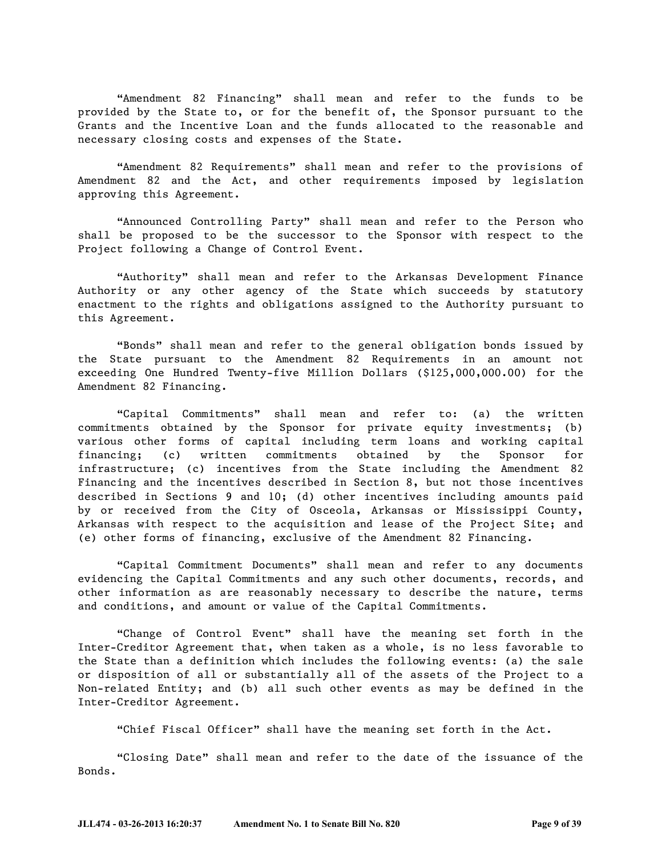"Amendment 82 Financing" shall mean and refer to the funds to be provided by the State to, or for the benefit of, the Sponsor pursuant to the Grants and the Incentive Loan and the funds allocated to the reasonable and necessary closing costs and expenses of the State.

"Amendment 82 Requirements" shall mean and refer to the provisions of Amendment 82 and the Act, and other requirements imposed by legislation approving this Agreement.

"Announced Controlling Party" shall mean and refer to the Person who shall be proposed to be the successor to the Sponsor with respect to the Project following a Change of Control Event.

"Authority" shall mean and refer to the Arkansas Development Finance Authority or any other agency of the State which succeeds by statutory enactment to the rights and obligations assigned to the Authority pursuant to this Agreement.

"Bonds" shall mean and refer to the general obligation bonds issued by the State pursuant to the Amendment 82 Requirements in an amount not exceeding One Hundred Twenty-five Million Dollars (\$125,000,000.00) for the Amendment 82 Financing.

―Capital Commitments‖ shall mean and refer to: (a) the written commitments obtained by the Sponsor for private equity investments; (b) various other forms of capital including term loans and working capital financing; (c) written commitments obtained by the Sponsor for infrastructure; (c) incentives from the State including the Amendment 82 Financing and the incentives described in Section 8, but not those incentives described in Sections 9 and 10; (d) other incentives including amounts paid by or received from the City of Osceola, Arkansas or Mississippi County, Arkansas with respect to the acquisition and lease of the Project Site; and (e) other forms of financing, exclusive of the Amendment 82 Financing.

―Capital Commitment Documents‖ shall mean and refer to any documents evidencing the Capital Commitments and any such other documents, records, and other information as are reasonably necessary to describe the nature, terms and conditions, and amount or value of the Capital Commitments.

―Change of Control Event‖ shall have the meaning set forth in the Inter-Creditor Agreement that, when taken as a whole, is no less favorable to the State than a definition which includes the following events: (a) the sale or disposition of all or substantially all of the assets of the Project to a Non-related Entity; and (b) all such other events as may be defined in the Inter-Creditor Agreement.

"Chief Fiscal Officer" shall have the meaning set forth in the Act.

―Closing Date‖ shall mean and refer to the date of the issuance of the Bonds.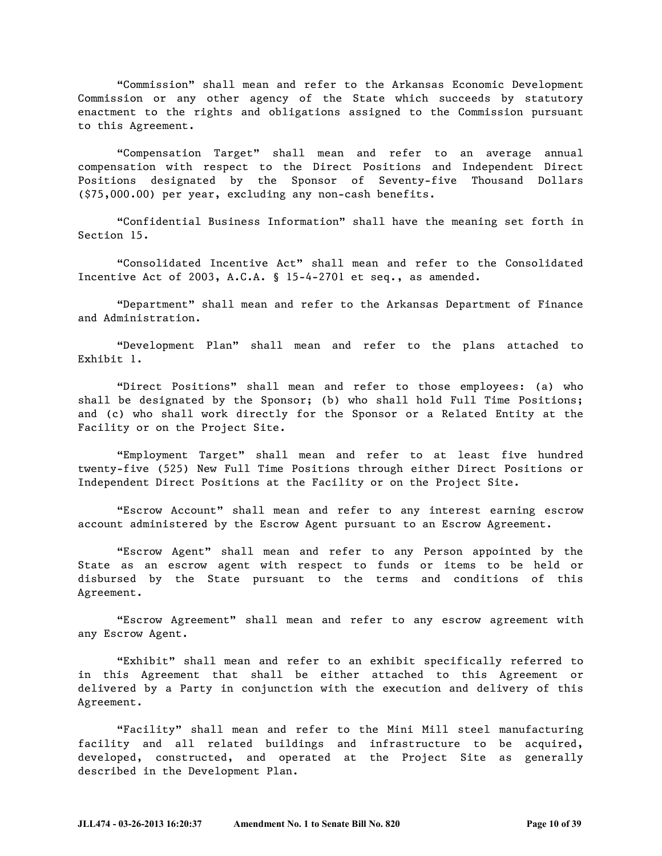―Commission‖ shall mean and refer to the Arkansas Economic Development Commission or any other agency of the State which succeeds by statutory enactment to the rights and obligations assigned to the Commission pursuant to this Agreement.

―Compensation Target‖ shall mean and refer to an average annual compensation with respect to the Direct Positions and Independent Direct Positions designated by the Sponsor of Seventy-five Thousand Dollars (\$75,000.00) per year, excluding any non-cash benefits.

―Confidential Business Information‖ shall have the meaning set forth in Section 15.

―Consolidated Incentive Act‖ shall mean and refer to the Consolidated Incentive Act of 2003, A.C.A. § 15-4-2701 et seq., as amended.

―Department‖ shall mean and refer to the Arkansas Department of Finance and Administration.

―Development Plan‖ shall mean and refer to the plans attached to Exhibit 1.

"Direct Positions" shall mean and refer to those employees: (a) who shall be designated by the Sponsor; (b) who shall hold Full Time Positions; and (c) who shall work directly for the Sponsor or a Related Entity at the Facility or on the Project Site.

―Employment Target‖ shall mean and refer to at least five hundred twenty-five (525) New Full Time Positions through either Direct Positions or Independent Direct Positions at the Facility or on the Project Site.

"Escrow Account" shall mean and refer to any interest earning escrow account administered by the Escrow Agent pursuant to an Escrow Agreement.

―Escrow Agent‖ shall mean and refer to any Person appointed by the State as an escrow agent with respect to funds or items to be held or disbursed by the State pursuant to the terms and conditions of this Agreement.

"Escrow Agreement" shall mean and refer to any escrow agreement with any Escrow Agent.

"Exhibit" shall mean and refer to an exhibit specifically referred to in this Agreement that shall be either attached to this Agreement or delivered by a Party in conjunction with the execution and delivery of this Agreement.

"Facility" shall mean and refer to the Mini Mill steel manufacturing facility and all related buildings and infrastructure to be acquired, developed, constructed, and operated at the Project Site as generally described in the Development Plan.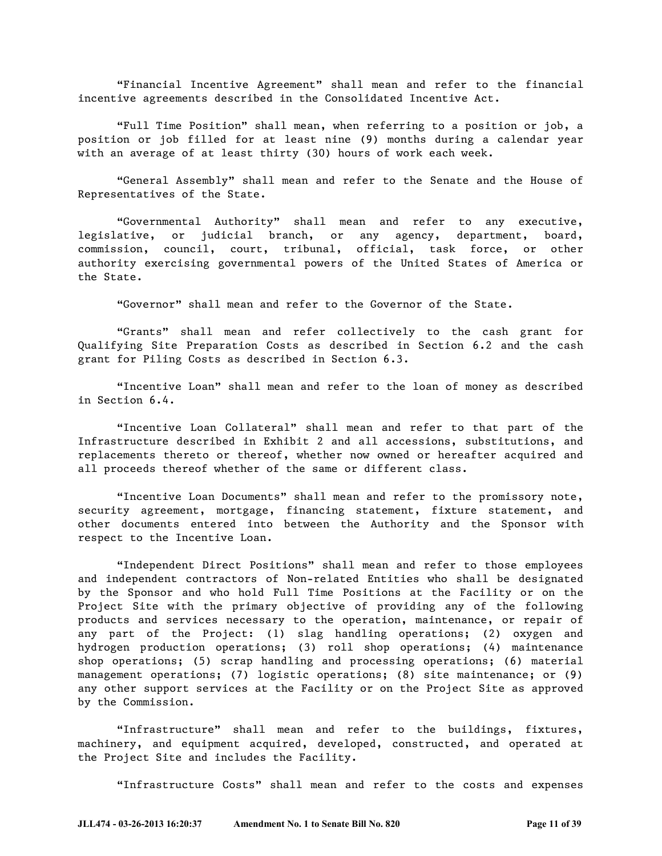―Financial Incentive Agreement‖ shall mean and refer to the financial incentive agreements described in the Consolidated Incentive Act.

―Full Time Position‖ shall mean, when referring to a position or job, a position or job filled for at least nine (9) months during a calendar year with an average of at least thirty (30) hours of work each week.

"General Assembly" shall mean and refer to the Senate and the House of Representatives of the State.

―Governmental Authority‖ shall mean and refer to any executive, legislative, or judicial branch, or any agency, department, board, commission, council, court, tribunal, official, task force, or other authority exercising governmental powers of the United States of America or the State.

"Governor" shall mean and refer to the Governor of the State.

―Grants‖ shall mean and refer collectively to the cash grant for Qualifying Site Preparation Costs as described in Section 6.2 and the cash grant for Piling Costs as described in Section 6.3.

"Incentive Loan" shall mean and refer to the loan of money as described in Section 6.4.

"Incentive Loan Collateral" shall mean and refer to that part of the Infrastructure described in Exhibit 2 and all accessions, substitutions, and replacements thereto or thereof, whether now owned or hereafter acquired and all proceeds thereof whether of the same or different class.

"Incentive Loan Documents" shall mean and refer to the promissory note, security agreement, mortgage, financing statement, fixture statement, and other documents entered into between the Authority and the Sponsor with respect to the Incentive Loan.

"Independent Direct Positions" shall mean and refer to those employees and independent contractors of Non-related Entities who shall be designated by the Sponsor and who hold Full Time Positions at the Facility or on the Project Site with the primary objective of providing any of the following products and services necessary to the operation, maintenance, or repair of any part of the Project: (1) slag handling operations; (2) oxygen and hydrogen production operations; (3) roll shop operations; (4) maintenance shop operations; (5) scrap handling and processing operations; (6) material management operations; (7) logistic operations; (8) site maintenance; or (9) any other support services at the Facility or on the Project Site as approved by the Commission.

"Infrastructure" shall mean and refer to the buildings, fixtures, machinery, and equipment acquired, developed, constructed, and operated at the Project Site and includes the Facility.

"Infrastructure Costs" shall mean and refer to the costs and expenses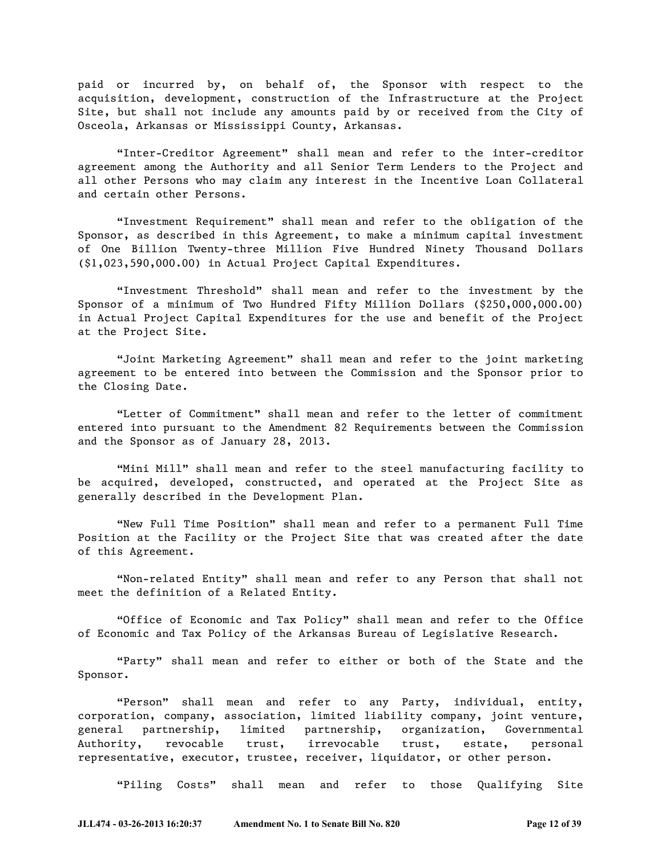paid or incurred by, on behalf of, the Sponsor with respect to the acquisition, development, construction of the Infrastructure at the Project Site, but shall not include any amounts paid by or received from the City of Osceola, Arkansas or Mississippi County, Arkansas.

―Inter-Creditor Agreement‖ shall mean and refer to the inter-creditor agreement among the Authority and all Senior Term Lenders to the Project and all other Persons who may claim any interest in the Incentive Loan Collateral and certain other Persons.

―Investment Requirement‖ shall mean and refer to the obligation of the Sponsor, as described in this Agreement, to make a minimum capital investment of One Billion Twenty-three Million Five Hundred Ninety Thousand Dollars (\$1,023,590,000.00) in Actual Project Capital Expenditures.

"Investment Threshold" shall mean and refer to the investment by the Sponsor of a minimum of Two Hundred Fifty Million Dollars (\$250,000,000.00) in Actual Project Capital Expenditures for the use and benefit of the Project at the Project Site.

―Joint Marketing Agreement‖ shall mean and refer to the joint marketing agreement to be entered into between the Commission and the Sponsor prior to the Closing Date.

―Letter of Commitment‖ shall mean and refer to the letter of commitment entered into pursuant to the Amendment 82 Requirements between the Commission and the Sponsor as of January 28, 2013.

"Mini Mill" shall mean and refer to the steel manufacturing facility to be acquired, developed, constructed, and operated at the Project Site as generally described in the Development Plan.

"New Full Time Position" shall mean and refer to a permanent Full Time Position at the Facility or the Project Site that was created after the date of this Agreement.

"Non-related Entity" shall mean and refer to any Person that shall not meet the definition of a Related Entity.

―Office of Economic and Tax Policy‖ shall mean and refer to the Office of Economic and Tax Policy of the Arkansas Bureau of Legislative Research.

"Party" shall mean and refer to either or both of the State and the Sponsor.

"Person" shall mean and refer to any Party, individual, entity, corporation, company, association, limited liability company, joint venture, general partnership, limited partnership, organization, Governmental Authority, revocable trust, irrevocable trust, estate, personal representative, executor, trustee, receiver, liquidator, or other person.

"Piling Costs" shall mean and refer to those Qualifying Site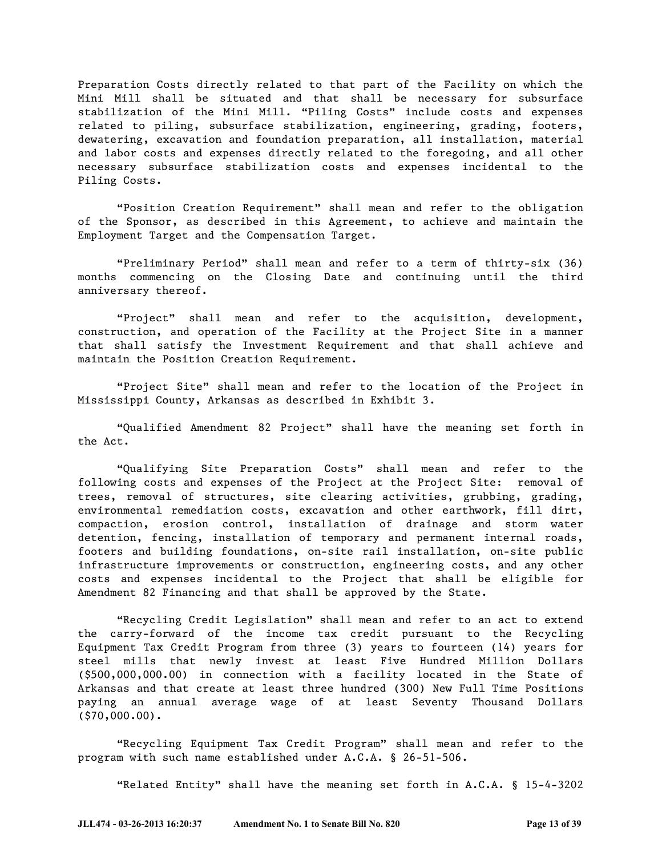Preparation Costs directly related to that part of the Facility on which the Mini Mill shall be situated and that shall be necessary for subsurface stabilization of the Mini Mill. "Piling Costs" include costs and expenses related to piling, subsurface stabilization, engineering, grading, footers, dewatering, excavation and foundation preparation, all installation, material and labor costs and expenses directly related to the foregoing, and all other necessary subsurface stabilization costs and expenses incidental to the Piling Costs.

―Position Creation Requirement‖ shall mean and refer to the obligation of the Sponsor, as described in this Agreement, to achieve and maintain the Employment Target and the Compensation Target.

―Preliminary Period‖ shall mean and refer to a term of thirty-six (36) months commencing on the Closing Date and continuing until the third anniversary thereof.

"Project" shall mean and refer to the acquisition, development, construction, and operation of the Facility at the Project Site in a manner that shall satisfy the Investment Requirement and that shall achieve and maintain the Position Creation Requirement.

"Project Site" shall mean and refer to the location of the Project in Mississippi County, Arkansas as described in Exhibit 3.

―Qualified Amendment 82 Project‖ shall have the meaning set forth in the Act.

―Qualifying Site Preparation Costs‖ shall mean and refer to the following costs and expenses of the Project at the Project Site: removal of trees, removal of structures, site clearing activities, grubbing, grading, environmental remediation costs, excavation and other earthwork, fill dirt, compaction, erosion control, installation of drainage and storm water detention, fencing, installation of temporary and permanent internal roads, footers and building foundations, on-site rail installation, on-site public infrastructure improvements or construction, engineering costs, and any other costs and expenses incidental to the Project that shall be eligible for Amendment 82 Financing and that shall be approved by the State.

"Recycling Credit Legislation" shall mean and refer to an act to extend the carry-forward of the income tax credit pursuant to the Recycling Equipment Tax Credit Program from three (3) years to fourteen (14) years for steel mills that newly invest at least Five Hundred Million Dollars (\$500,000,000.00) in connection with a facility located in the State of Arkansas and that create at least three hundred (300) New Full Time Positions paying an annual average wage of at least Seventy Thousand Dollars (\$70,000.00).

"Recycling Equipment Tax Credit Program" shall mean and refer to the program with such name established under A.C.A. § 26-51-506.

"Related Entity" shall have the meaning set forth in A.C.A. § 15-4-3202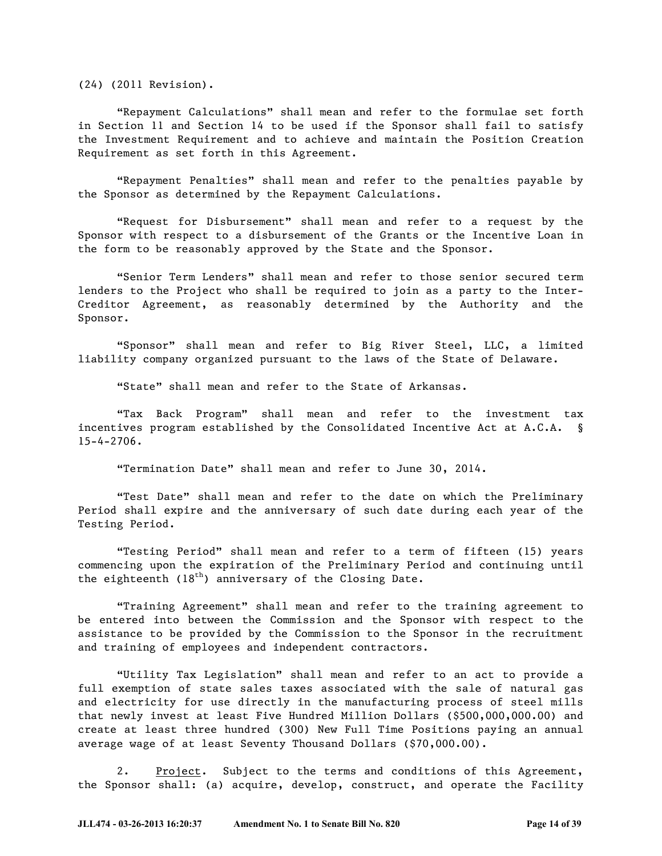(24) (2011 Revision).

"Repayment Calculations" shall mean and refer to the formulae set forth in Section 11 and Section 14 to be used if the Sponsor shall fail to satisfy the Investment Requirement and to achieve and maintain the Position Creation Requirement as set forth in this Agreement.

"Repayment Penalties" shall mean and refer to the penalties payable by the Sponsor as determined by the Repayment Calculations.

"Request for Disbursement" shall mean and refer to a request by the Sponsor with respect to a disbursement of the Grants or the Incentive Loan in the form to be reasonably approved by the State and the Sponsor.

"Senior Term Lenders" shall mean and refer to those senior secured term lenders to the Project who shall be required to join as a party to the Inter-Creditor Agreement, as reasonably determined by the Authority and the Sponsor.

"Sponsor" shall mean and refer to Big River Steel, LLC, a limited liability company organized pursuant to the laws of the State of Delaware.

"State" shall mean and refer to the State of Arkansas.

―Tax Back Program‖ shall mean and refer to the investment tax incentives program established by the Consolidated Incentive Act at A.C.A. § 15-4-2706.

―Termination Date‖ shall mean and refer to June 30, 2014.

―Test Date‖ shall mean and refer to the date on which the Preliminary Period shall expire and the anniversary of such date during each year of the Testing Period.

"Testing Period" shall mean and refer to a term of fifteen (15) years commencing upon the expiration of the Preliminary Period and continuing until the eighteenth  $(18<sup>th</sup>)$  anniversary of the Closing Date.

―Training Agreement‖ shall mean and refer to the training agreement to be entered into between the Commission and the Sponsor with respect to the assistance to be provided by the Commission to the Sponsor in the recruitment and training of employees and independent contractors.

―Utility Tax Legislation‖ shall mean and refer to an act to provide a full exemption of state sales taxes associated with the sale of natural gas and electricity for use directly in the manufacturing process of steel mills that newly invest at least Five Hundred Million Dollars (\$500,000,000.00) and create at least three hundred (300) New Full Time Positions paying an annual average wage of at least Seventy Thousand Dollars (\$70,000.00).

2. Project. Subject to the terms and conditions of this Agreement, the Sponsor shall: (a) acquire, develop, construct, and operate the Facility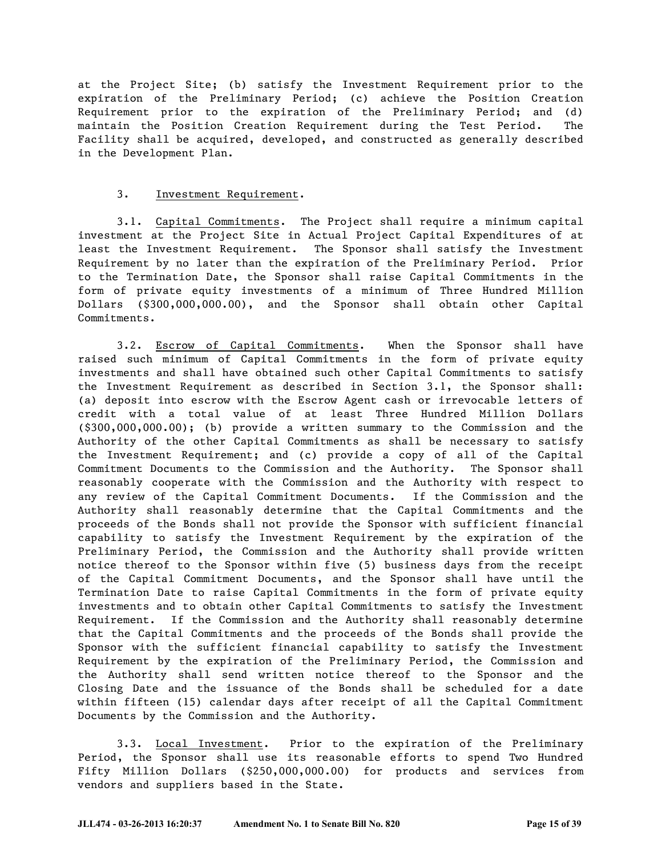at the Project Site; (b) satisfy the Investment Requirement prior to the expiration of the Preliminary Period; (c) achieve the Position Creation Requirement prior to the expiration of the Preliminary Period; and (d) maintain the Position Creation Requirement during the Test Period. The Facility shall be acquired, developed, and constructed as generally described in the Development Plan.

#### 3. Investment Requirement.

3.1. Capital Commitments. The Project shall require a minimum capital investment at the Project Site in Actual Project Capital Expenditures of at least the Investment Requirement. The Sponsor shall satisfy the Investment Requirement by no later than the expiration of the Preliminary Period. Prior to the Termination Date, the Sponsor shall raise Capital Commitments in the form of private equity investments of a minimum of Three Hundred Million Dollars (\$300,000,000.00), and the Sponsor shall obtain other Capital Commitments.

3.2. Escrow of Capital Commitments. When the Sponsor shall have raised such minimum of Capital Commitments in the form of private equity investments and shall have obtained such other Capital Commitments to satisfy the Investment Requirement as described in Section 3.1, the Sponsor shall: (a) deposit into escrow with the Escrow Agent cash or irrevocable letters of credit with a total value of at least Three Hundred Million Dollars (\$300,000,000.00); (b) provide a written summary to the Commission and the Authority of the other Capital Commitments as shall be necessary to satisfy the Investment Requirement; and (c) provide a copy of all of the Capital Commitment Documents to the Commission and the Authority. The Sponsor shall reasonably cooperate with the Commission and the Authority with respect to any review of the Capital Commitment Documents. If the Commission and the Authority shall reasonably determine that the Capital Commitments and the proceeds of the Bonds shall not provide the Sponsor with sufficient financial capability to satisfy the Investment Requirement by the expiration of the Preliminary Period, the Commission and the Authority shall provide written notice thereof to the Sponsor within five (5) business days from the receipt of the Capital Commitment Documents, and the Sponsor shall have until the Termination Date to raise Capital Commitments in the form of private equity investments and to obtain other Capital Commitments to satisfy the Investment Requirement. If the Commission and the Authority shall reasonably determine that the Capital Commitments and the proceeds of the Bonds shall provide the Sponsor with the sufficient financial capability to satisfy the Investment Requirement by the expiration of the Preliminary Period, the Commission and the Authority shall send written notice thereof to the Sponsor and the Closing Date and the issuance of the Bonds shall be scheduled for a date within fifteen (15) calendar days after receipt of all the Capital Commitment Documents by the Commission and the Authority.

3.3. Local Investment. Prior to the expiration of the Preliminary Period, the Sponsor shall use its reasonable efforts to spend Two Hundred Fifty Million Dollars (\$250,000,000.00) for products and services from vendors and suppliers based in the State.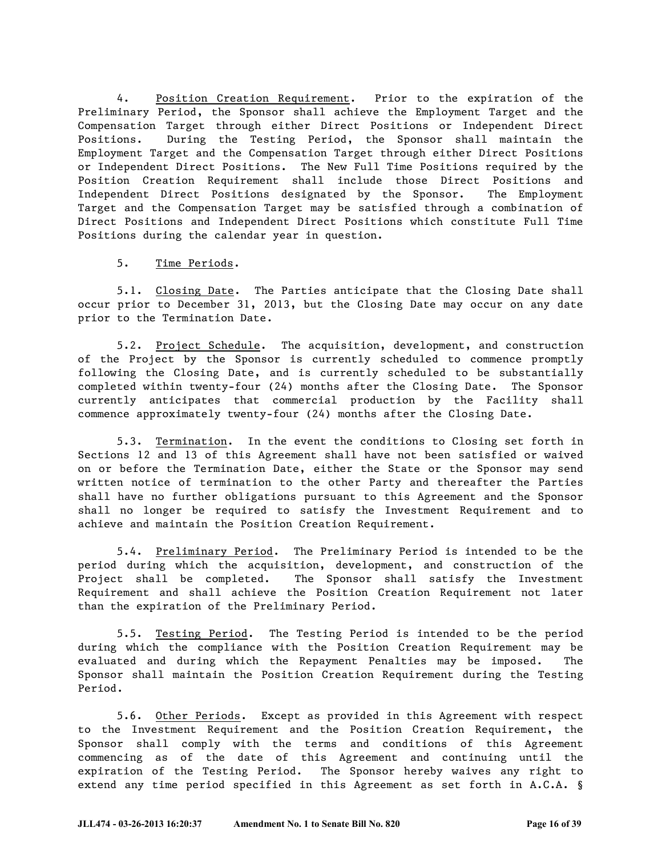4. Position Creation Requirement. Prior to the expiration of the Preliminary Period, the Sponsor shall achieve the Employment Target and the Compensation Target through either Direct Positions or Independent Direct Positions. During the Testing Period, the Sponsor shall maintain the Employment Target and the Compensation Target through either Direct Positions or Independent Direct Positions. The New Full Time Positions required by the Position Creation Requirement shall include those Direct Positions and Independent Direct Positions designated by the Sponsor. The Employment Target and the Compensation Target may be satisfied through a combination of Direct Positions and Independent Direct Positions which constitute Full Time Positions during the calendar year in question.

5. Time Periods.

5.1. Closing Date. The Parties anticipate that the Closing Date shall occur prior to December 31, 2013, but the Closing Date may occur on any date prior to the Termination Date.

5.2. Project Schedule. The acquisition, development, and construction of the Project by the Sponsor is currently scheduled to commence promptly following the Closing Date, and is currently scheduled to be substantially completed within twenty-four (24) months after the Closing Date. The Sponsor currently anticipates that commercial production by the Facility shall commence approximately twenty-four (24) months after the Closing Date.

5.3. Termination. In the event the conditions to Closing set forth in Sections 12 and 13 of this Agreement shall have not been satisfied or waived on or before the Termination Date, either the State or the Sponsor may send written notice of termination to the other Party and thereafter the Parties shall have no further obligations pursuant to this Agreement and the Sponsor shall no longer be required to satisfy the Investment Requirement and to achieve and maintain the Position Creation Requirement.

5.4. Preliminary Period. The Preliminary Period is intended to be the period during which the acquisition, development, and construction of the Project shall be completed. The Sponsor shall satisfy the Investment Requirement and shall achieve the Position Creation Requirement not later than the expiration of the Preliminary Period.

5.5. Testing Period. The Testing Period is intended to be the period during which the compliance with the Position Creation Requirement may be evaluated and during which the Repayment Penalties may be imposed. The Sponsor shall maintain the Position Creation Requirement during the Testing Period.

5.6. Other Periods. Except as provided in this Agreement with respect to the Investment Requirement and the Position Creation Requirement, the Sponsor shall comply with the terms and conditions of this Agreement commencing as of the date of this Agreement and continuing until the expiration of the Testing Period. The Sponsor hereby waives any right to extend any time period specified in this Agreement as set forth in A.C.A. §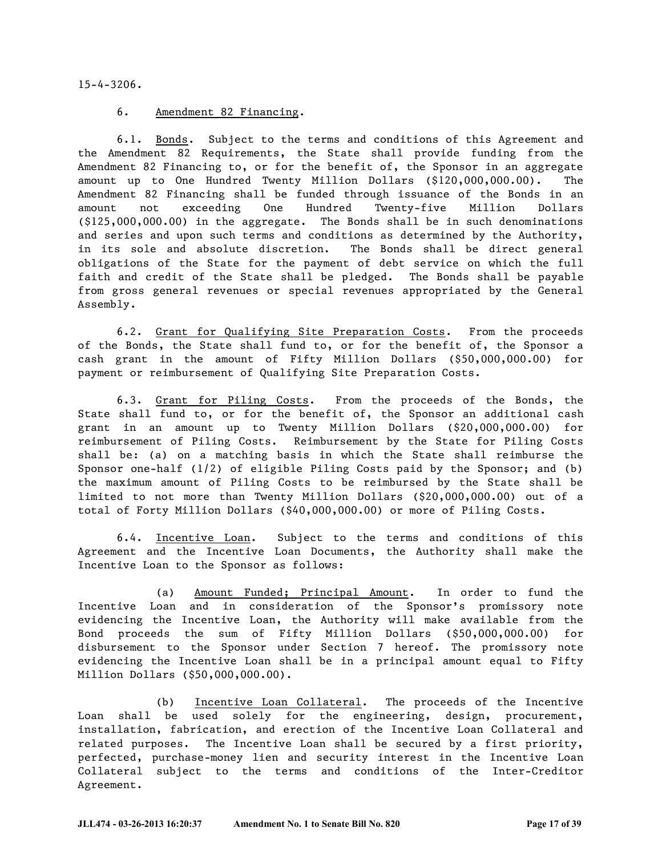15-4-3206.

#### 6. Amendment 82 Financing.

6.1. Bonds. Subject to the terms and conditions of this Agreement and the Amendment 82 Requirements, the State shall provide funding from the Amendment 82 Financing to, or for the benefit of, the Sponsor in an aggregate amount up to One Hundred Twenty Million Dollars (\$120,000,000.00). The Amendment 82 Financing shall be funded through issuance of the Bonds in an amount not exceeding One Hundred Twenty-five Million Dollars (\$125,000,000.00) in the aggregate. The Bonds shall be in such denominations and series and upon such terms and conditions as determined by the Authority, in its sole and absolute discretion. The Bonds shall be direct general obligations of the State for the payment of debt service on which the full faith and credit of the State shall be pledged. The Bonds shall be payable from gross general revenues or special revenues appropriated by the General Assembly.

6.2. Grant for Qualifying Site Preparation Costs. From the proceeds of the Bonds, the State shall fund to, or for the benefit of, the Sponsor a cash grant in the amount of Fifty Million Dollars (\$50,000,000.00) for payment or reimbursement of Qualifying Site Preparation Costs.

6.3. Grant for Piling Costs. From the proceeds of the Bonds, the State shall fund to, or for the benefit of, the Sponsor an additional cash grant in an amount up to Twenty Million Dollars (\$20,000,000.00) for reimbursement of Piling Costs. Reimbursement by the State for Piling Costs shall be: (a) on a matching basis in which the State shall reimburse the Sponsor one-half (1/2) of eligible Piling Costs paid by the Sponsor; and (b) the maximum amount of Piling Costs to be reimbursed by the State shall be limited to not more than Twenty Million Dollars (\$20,000,000.00) out of a total of Forty Million Dollars (\$40,000,000.00) or more of Piling Costs.

6.4. Incentive Loan. Subject to the terms and conditions of this Agreement and the Incentive Loan Documents, the Authority shall make the Incentive Loan to the Sponsor as follows:

(a) Amount Funded; Principal Amount. In order to fund the Incentive Loan and in consideration of the Sponsor's promissory note evidencing the Incentive Loan, the Authority will make available from the Bond proceeds the sum of Fifty Million Dollars (\$50,000,000.00) for disbursement to the Sponsor under Section 7 hereof. The promissory note evidencing the Incentive Loan shall be in a principal amount equal to Fifty Million Dollars (\$50,000,000.00).

(b) Incentive Loan Collateral. The proceeds of the Incentive Loan shall be used solely for the engineering, design, procurement, installation, fabrication, and erection of the Incentive Loan Collateral and related purposes. The Incentive Loan shall be secured by a first priority, perfected, purchase-money lien and security interest in the Incentive Loan Collateral subject to the terms and conditions of the Inter-Creditor Agreement.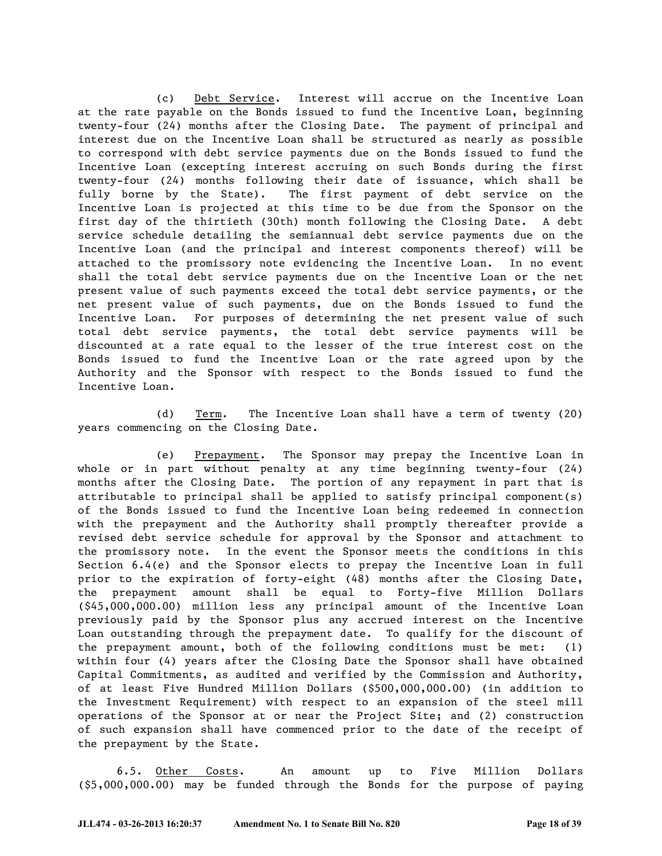(c) Debt Service. Interest will accrue on the Incentive Loan at the rate payable on the Bonds issued to fund the Incentive Loan, beginning twenty-four (24) months after the Closing Date. The payment of principal and interest due on the Incentive Loan shall be structured as nearly as possible to correspond with debt service payments due on the Bonds issued to fund the Incentive Loan (excepting interest accruing on such Bonds during the first twenty-four (24) months following their date of issuance, which shall be fully borne by the State). The first payment of debt service on the Incentive Loan is projected at this time to be due from the Sponsor on the first day of the thirtieth (30th) month following the Closing Date. A debt service schedule detailing the semiannual debt service payments due on the Incentive Loan (and the principal and interest components thereof) will be attached to the promissory note evidencing the Incentive Loan. In no event shall the total debt service payments due on the Incentive Loan or the net present value of such payments exceed the total debt service payments, or the net present value of such payments, due on the Bonds issued to fund the Incentive Loan. For purposes of determining the net present value of such total debt service payments, the total debt service payments will be discounted at a rate equal to the lesser of the true interest cost on the Bonds issued to fund the Incentive Loan or the rate agreed upon by the Authority and the Sponsor with respect to the Bonds issued to fund the Incentive Loan.

(d) Term. The Incentive Loan shall have a term of twenty (20) years commencing on the Closing Date.

(e) Prepayment. The Sponsor may prepay the Incentive Loan in whole or in part without penalty at any time beginning twenty-four (24) months after the Closing Date. The portion of any repayment in part that is attributable to principal shall be applied to satisfy principal component(s) of the Bonds issued to fund the Incentive Loan being redeemed in connection with the prepayment and the Authority shall promptly thereafter provide a revised debt service schedule for approval by the Sponsor and attachment to the promissory note. In the event the Sponsor meets the conditions in this Section 6.4(e) and the Sponsor elects to prepay the Incentive Loan in full prior to the expiration of forty-eight (48) months after the Closing Date, the prepayment amount shall be equal to Forty-five Million Dollars (\$45,000,000.00) million less any principal amount of the Incentive Loan previously paid by the Sponsor plus any accrued interest on the Incentive Loan outstanding through the prepayment date. To qualify for the discount of the prepayment amount, both of the following conditions must be met: (1) within four (4) years after the Closing Date the Sponsor shall have obtained Capital Commitments, as audited and verified by the Commission and Authority, of at least Five Hundred Million Dollars (\$500,000,000.00) (in addition to the Investment Requirement) with respect to an expansion of the steel mill operations of the Sponsor at or near the Project Site; and (2) construction of such expansion shall have commenced prior to the date of the receipt of the prepayment by the State.

6.5. Other Costs. An amount up to Five Million Dollars (\$5,000,000.00) may be funded through the Bonds for the purpose of paying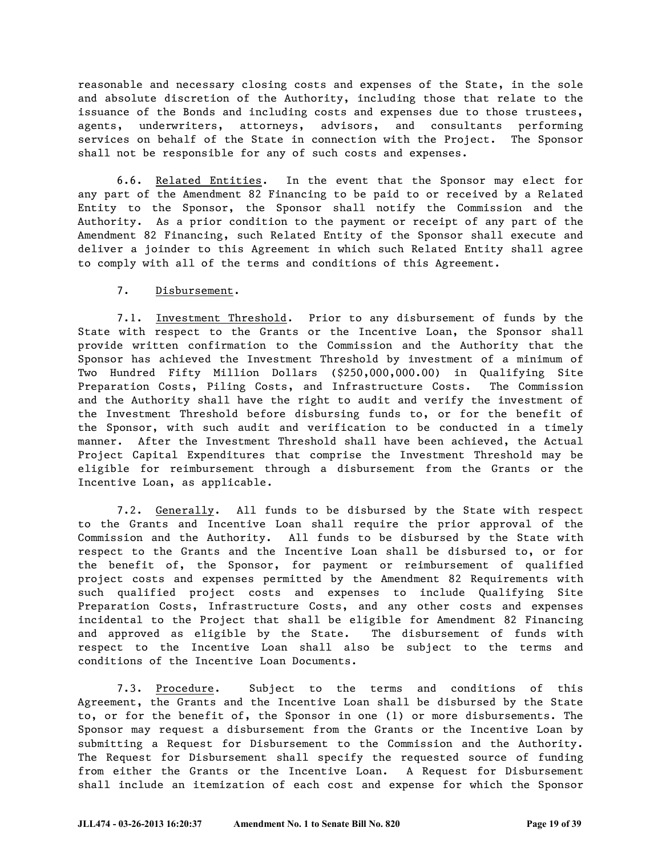reasonable and necessary closing costs and expenses of the State, in the sole and absolute discretion of the Authority, including those that relate to the issuance of the Bonds and including costs and expenses due to those trustees, agents, underwriters, attorneys, advisors, and consultants performing services on behalf of the State in connection with the Project. The Sponsor shall not be responsible for any of such costs and expenses.

6.6. Related Entities. In the event that the Sponsor may elect for any part of the Amendment 82 Financing to be paid to or received by a Related Entity to the Sponsor, the Sponsor shall notify the Commission and the Authority. As a prior condition to the payment or receipt of any part of the Amendment 82 Financing, such Related Entity of the Sponsor shall execute and deliver a joinder to this Agreement in which such Related Entity shall agree to comply with all of the terms and conditions of this Agreement.

#### 7. Disbursement.

7.1. Investment Threshold. Prior to any disbursement of funds by the State with respect to the Grants or the Incentive Loan, the Sponsor shall provide written confirmation to the Commission and the Authority that the Sponsor has achieved the Investment Threshold by investment of a minimum of Two Hundred Fifty Million Dollars (\$250,000,000.00) in Qualifying Site Preparation Costs, Piling Costs, and Infrastructure Costs. The Commission and the Authority shall have the right to audit and verify the investment of the Investment Threshold before disbursing funds to, or for the benefit of the Sponsor, with such audit and verification to be conducted in a timely manner. After the Investment Threshold shall have been achieved, the Actual Project Capital Expenditures that comprise the Investment Threshold may be eligible for reimbursement through a disbursement from the Grants or the Incentive Loan, as applicable.

7.2. Generally. All funds to be disbursed by the State with respect to the Grants and Incentive Loan shall require the prior approval of the Commission and the Authority. All funds to be disbursed by the State with respect to the Grants and the Incentive Loan shall be disbursed to, or for the benefit of, the Sponsor, for payment or reimbursement of qualified project costs and expenses permitted by the Amendment 82 Requirements with such qualified project costs and expenses to include Qualifying Site Preparation Costs, Infrastructure Costs, and any other costs and expenses incidental to the Project that shall be eligible for Amendment 82 Financing and approved as eligible by the State. The disbursement of funds with respect to the Incentive Loan shall also be subject to the terms and conditions of the Incentive Loan Documents.

7.3. Procedure. Subject to the terms and conditions of this Agreement, the Grants and the Incentive Loan shall be disbursed by the State to, or for the benefit of, the Sponsor in one (1) or more disbursements. The Sponsor may request a disbursement from the Grants or the Incentive Loan by submitting a Request for Disbursement to the Commission and the Authority. The Request for Disbursement shall specify the requested source of funding from either the Grants or the Incentive Loan. A Request for Disbursement shall include an itemization of each cost and expense for which the Sponsor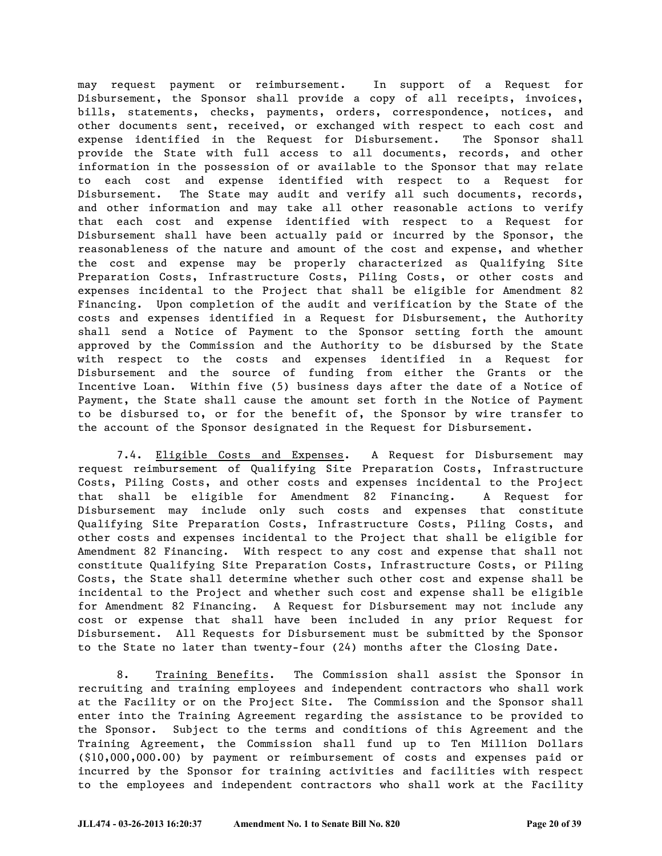may request payment or reimbursement. In support of a Request for Disbursement, the Sponsor shall provide a copy of all receipts, invoices, bills, statements, checks, payments, orders, correspondence, notices, and other documents sent, received, or exchanged with respect to each cost and expense identified in the Request for Disbursement. The Sponsor shall provide the State with full access to all documents, records, and other information in the possession of or available to the Sponsor that may relate to each cost and expense identified with respect to a Request for Disbursement. The State may audit and verify all such documents, records, and other information and may take all other reasonable actions to verify that each cost and expense identified with respect to a Request for Disbursement shall have been actually paid or incurred by the Sponsor, the reasonableness of the nature and amount of the cost and expense, and whether the cost and expense may be properly characterized as Qualifying Site Preparation Costs, Infrastructure Costs, Piling Costs, or other costs and expenses incidental to the Project that shall be eligible for Amendment 82 Financing. Upon completion of the audit and verification by the State of the costs and expenses identified in a Request for Disbursement, the Authority shall send a Notice of Payment to the Sponsor setting forth the amount approved by the Commission and the Authority to be disbursed by the State with respect to the costs and expenses identified in a Request for Disbursement and the source of funding from either the Grants or the Incentive Loan. Within five (5) business days after the date of a Notice of Payment, the State shall cause the amount set forth in the Notice of Payment to be disbursed to, or for the benefit of, the Sponsor by wire transfer to the account of the Sponsor designated in the Request for Disbursement.

7.4. Eligible Costs and Expenses. A Request for Disbursement may request reimbursement of Qualifying Site Preparation Costs, Infrastructure Costs, Piling Costs, and other costs and expenses incidental to the Project that shall be eligible for Amendment 82 Financing. A Request for Disbursement may include only such costs and expenses that constitute Qualifying Site Preparation Costs, Infrastructure Costs, Piling Costs, and other costs and expenses incidental to the Project that shall be eligible for Amendment 82 Financing. With respect to any cost and expense that shall not constitute Qualifying Site Preparation Costs, Infrastructure Costs, or Piling Costs, the State shall determine whether such other cost and expense shall be incidental to the Project and whether such cost and expense shall be eligible for Amendment 82 Financing. A Request for Disbursement may not include any cost or expense that shall have been included in any prior Request for Disbursement. All Requests for Disbursement must be submitted by the Sponsor to the State no later than twenty-four (24) months after the Closing Date.

8. Training Benefits. The Commission shall assist the Sponsor in recruiting and training employees and independent contractors who shall work at the Facility or on the Project Site. The Commission and the Sponsor shall enter into the Training Agreement regarding the assistance to be provided to the Sponsor. Subject to the terms and conditions of this Agreement and the Training Agreement, the Commission shall fund up to Ten Million Dollars (\$10,000,000.00) by payment or reimbursement of costs and expenses paid or incurred by the Sponsor for training activities and facilities with respect to the employees and independent contractors who shall work at the Facility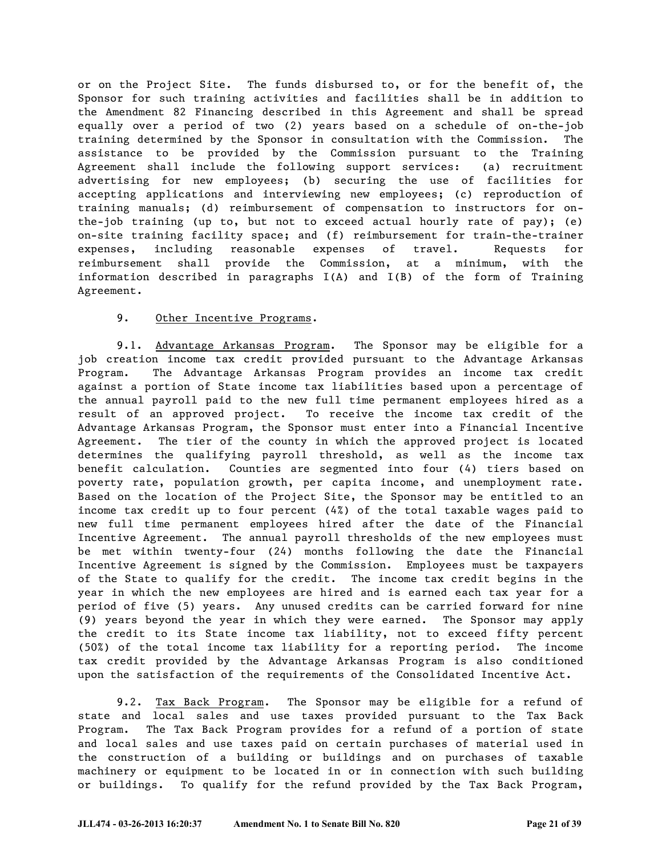or on the Project Site. The funds disbursed to, or for the benefit of, the Sponsor for such training activities and facilities shall be in addition to the Amendment 82 Financing described in this Agreement and shall be spread equally over a period of two (2) years based on a schedule of on-the-job training determined by the Sponsor in consultation with the Commission. The assistance to be provided by the Commission pursuant to the Training Agreement shall include the following support services: (a) recruitment advertising for new employees; (b) securing the use of facilities for accepting applications and interviewing new employees; (c) reproduction of training manuals; (d) reimbursement of compensation to instructors for onthe-job training (up to, but not to exceed actual hourly rate of pay); (e) on-site training facility space; and (f) reimbursement for train-the-trainer expenses, including reasonable expenses of travel. Requests for reimbursement shall provide the Commission, at a minimum, with the information described in paragraphs I(A) and I(B) of the form of Training Agreement.

#### 9. Other Incentive Programs.

9.1. Advantage Arkansas Program. The Sponsor may be eligible for a job creation income tax credit provided pursuant to the Advantage Arkansas Program. The Advantage Arkansas Program provides an income tax credit against a portion of State income tax liabilities based upon a percentage of the annual payroll paid to the new full time permanent employees hired as a result of an approved project. To receive the income tax credit of the Advantage Arkansas Program, the Sponsor must enter into a Financial Incentive Agreement. The tier of the county in which the approved project is located determines the qualifying payroll threshold, as well as the income tax benefit calculation. Counties are segmented into four (4) tiers based on poverty rate, population growth, per capita income, and unemployment rate. Based on the location of the Project Site, the Sponsor may be entitled to an income tax credit up to four percent (4%) of the total taxable wages paid to new full time permanent employees hired after the date of the Financial Incentive Agreement. The annual payroll thresholds of the new employees must be met within twenty-four (24) months following the date the Financial Incentive Agreement is signed by the Commission. Employees must be taxpayers of the State to qualify for the credit. The income tax credit begins in the year in which the new employees are hired and is earned each tax year for a period of five (5) years. Any unused credits can be carried forward for nine (9) years beyond the year in which they were earned. The Sponsor may apply the credit to its State income tax liability, not to exceed fifty percent (50%) of the total income tax liability for a reporting period. The income tax credit provided by the Advantage Arkansas Program is also conditioned upon the satisfaction of the requirements of the Consolidated Incentive Act.

9.2. Tax Back Program. The Sponsor may be eligible for a refund of state and local sales and use taxes provided pursuant to the Tax Back Program. The Tax Back Program provides for a refund of a portion of state and local sales and use taxes paid on certain purchases of material used in the construction of a building or buildings and on purchases of taxable machinery or equipment to be located in or in connection with such building or buildings. To qualify for the refund provided by the Tax Back Program,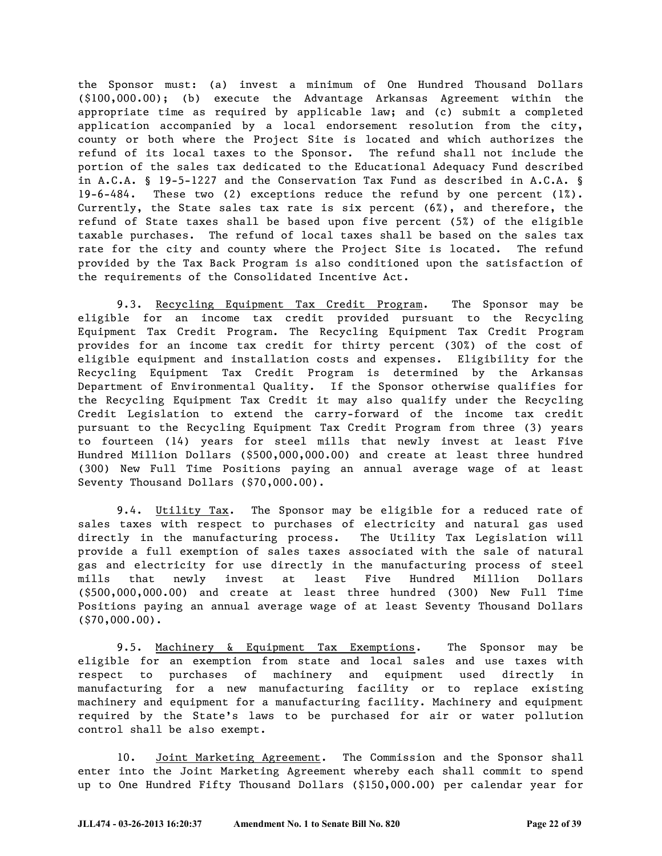the Sponsor must: (a) invest a minimum of One Hundred Thousand Dollars (\$100,000.00); (b) execute the Advantage Arkansas Agreement within the appropriate time as required by applicable law; and (c) submit a completed application accompanied by a local endorsement resolution from the city, county or both where the Project Site is located and which authorizes the refund of its local taxes to the Sponsor. The refund shall not include the portion of the sales tax dedicated to the Educational Adequacy Fund described in A.C.A. § 19-5-1227 and the Conservation Tax Fund as described in A.C.A. § 19-6-484. These two (2) exceptions reduce the refund by one percent (1%). Currently, the State sales tax rate is six percent (6%), and therefore, the refund of State taxes shall be based upon five percent (5%) of the eligible taxable purchases. The refund of local taxes shall be based on the sales tax rate for the city and county where the Project Site is located. The refund provided by the Tax Back Program is also conditioned upon the satisfaction of the requirements of the Consolidated Incentive Act.

9.3. Recycling Equipment Tax Credit Program. The Sponsor may be eligible for an income tax credit provided pursuant to the Recycling Equipment Tax Credit Program. The Recycling Equipment Tax Credit Program provides for an income tax credit for thirty percent (30%) of the cost of eligible equipment and installation costs and expenses. Eligibility for the Recycling Equipment Tax Credit Program is determined by the Arkansas Department of Environmental Quality. If the Sponsor otherwise qualifies for the Recycling Equipment Tax Credit it may also qualify under the Recycling Credit Legislation to extend the carry-forward of the income tax credit pursuant to the Recycling Equipment Tax Credit Program from three (3) years to fourteen (14) years for steel mills that newly invest at least Five Hundred Million Dollars (\$500,000,000.00) and create at least three hundred (300) New Full Time Positions paying an annual average wage of at least Seventy Thousand Dollars (\$70,000.00).

9.4. Utility Tax. The Sponsor may be eligible for a reduced rate of sales taxes with respect to purchases of electricity and natural gas used directly in the manufacturing process. The Utility Tax Legislation will provide a full exemption of sales taxes associated with the sale of natural gas and electricity for use directly in the manufacturing process of steel mills that newly invest at least Five Hundred Million Dollars (\$500,000,000.00) and create at least three hundred (300) New Full Time Positions paying an annual average wage of at least Seventy Thousand Dollars (\$70,000.00).

9.5. Machinery & Equipment Tax Exemptions. The Sponsor may be eligible for an exemption from state and local sales and use taxes with respect to purchases of machinery and equipment used directly in manufacturing for a new manufacturing facility or to replace existing machinery and equipment for a manufacturing facility. Machinery and equipment required by the State's laws to be purchased for air or water pollution control shall be also exempt.

10. Joint Marketing Agreement. The Commission and the Sponsor shall enter into the Joint Marketing Agreement whereby each shall commit to spend up to One Hundred Fifty Thousand Dollars (\$150,000.00) per calendar year for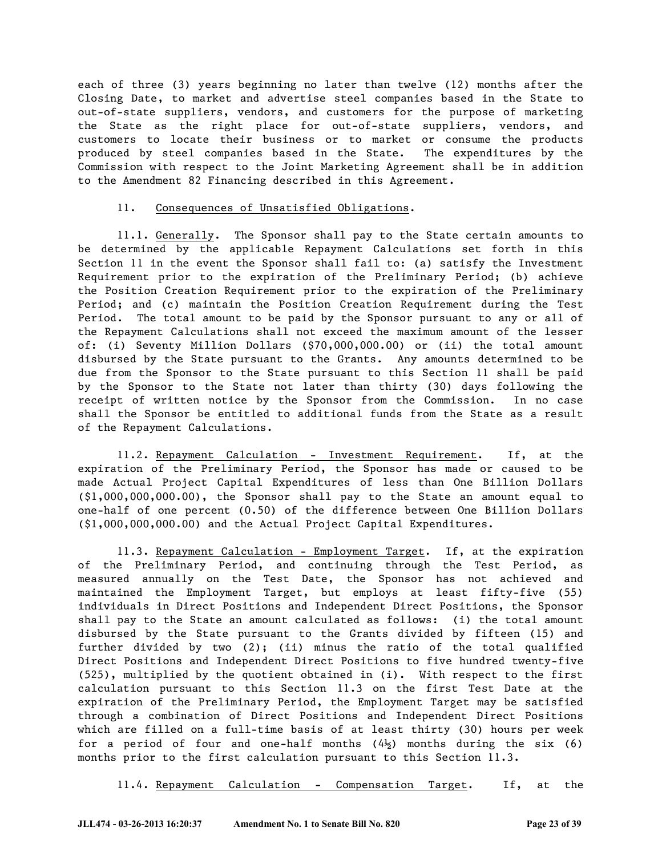each of three (3) years beginning no later than twelve (12) months after the Closing Date, to market and advertise steel companies based in the State to out-of-state suppliers, vendors, and customers for the purpose of marketing the State as the right place for out-of-state suppliers, vendors, and customers to locate their business or to market or consume the products produced by steel companies based in the State. The expenditures by the Commission with respect to the Joint Marketing Agreement shall be in addition to the Amendment 82 Financing described in this Agreement.

#### 11. Consequences of Unsatisfied Obligations.

11.1. Generally. The Sponsor shall pay to the State certain amounts to be determined by the applicable Repayment Calculations set forth in this Section 11 in the event the Sponsor shall fail to: (a) satisfy the Investment Requirement prior to the expiration of the Preliminary Period; (b) achieve the Position Creation Requirement prior to the expiration of the Preliminary Period; and (c) maintain the Position Creation Requirement during the Test Period. The total amount to be paid by the Sponsor pursuant to any or all of the Repayment Calculations shall not exceed the maximum amount of the lesser of: (i) Seventy Million Dollars (\$70,000,000.00) or (ii) the total amount disbursed by the State pursuant to the Grants. Any amounts determined to be due from the Sponsor to the State pursuant to this Section 11 shall be paid by the Sponsor to the State not later than thirty (30) days following the receipt of written notice by the Sponsor from the Commission. In no case shall the Sponsor be entitled to additional funds from the State as a result of the Repayment Calculations.

11.2. Repayment Calculation - Investment Requirement. If, at the expiration of the Preliminary Period, the Sponsor has made or caused to be made Actual Project Capital Expenditures of less than One Billion Dollars (\$1,000,000,000.00), the Sponsor shall pay to the State an amount equal to one-half of one percent (0.50) of the difference between One Billion Dollars (\$1,000,000,000.00) and the Actual Project Capital Expenditures.

11.3. Repayment Calculation - Employment Target. If, at the expiration of the Preliminary Period, and continuing through the Test Period, as measured annually on the Test Date, the Sponsor has not achieved and maintained the Employment Target, but employs at least fifty-five (55) individuals in Direct Positions and Independent Direct Positions, the Sponsor shall pay to the State an amount calculated as follows: (i) the total amount disbursed by the State pursuant to the Grants divided by fifteen (15) and further divided by two (2); (ii) minus the ratio of the total qualified Direct Positions and Independent Direct Positions to five hundred twenty-five (525), multiplied by the quotient obtained in (i). With respect to the first calculation pursuant to this Section 11.3 on the first Test Date at the expiration of the Preliminary Period, the Employment Target may be satisfied through a combination of Direct Positions and Independent Direct Positions which are filled on a full-time basis of at least thirty (30) hours per week for a period of four and one-half months  $(4\frac{1}{2})$  months during the six (6) months prior to the first calculation pursuant to this Section 11.3.

11.4. Repayment Calculation - Compensation Target. If, at the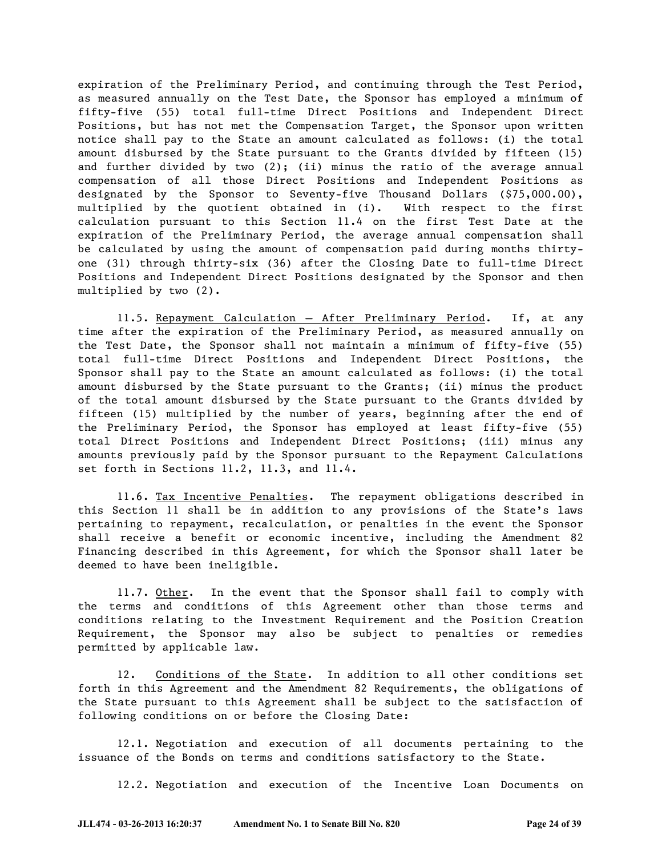expiration of the Preliminary Period, and continuing through the Test Period, as measured annually on the Test Date, the Sponsor has employed a minimum of fifty-five (55) total full-time Direct Positions and Independent Direct Positions, but has not met the Compensation Target, the Sponsor upon written notice shall pay to the State an amount calculated as follows: (i) the total amount disbursed by the State pursuant to the Grants divided by fifteen (15) and further divided by two (2); (ii) minus the ratio of the average annual compensation of all those Direct Positions and Independent Positions as designated by the Sponsor to Seventy-five Thousand Dollars (\$75,000.00), multiplied by the quotient obtained in (i). With respect to the first calculation pursuant to this Section 11.4 on the first Test Date at the expiration of the Preliminary Period, the average annual compensation shall be calculated by using the amount of compensation paid during months thirtyone (31) through thirty-six (36) after the Closing Date to full-time Direct Positions and Independent Direct Positions designated by the Sponsor and then multiplied by two (2).

11.5. Repayment Calculation – After Preliminary Period. If, at any time after the expiration of the Preliminary Period, as measured annually on the Test Date, the Sponsor shall not maintain a minimum of fifty-five (55) total full-time Direct Positions and Independent Direct Positions, the Sponsor shall pay to the State an amount calculated as follows: (i) the total amount disbursed by the State pursuant to the Grants; (ii) minus the product of the total amount disbursed by the State pursuant to the Grants divided by fifteen (15) multiplied by the number of years, beginning after the end of the Preliminary Period, the Sponsor has employed at least fifty-five (55) total Direct Positions and Independent Direct Positions; (iii) minus any amounts previously paid by the Sponsor pursuant to the Repayment Calculations set forth in Sections 11.2, 11.3, and 11.4.

11.6. Tax Incentive Penalties. The repayment obligations described in this Section 11 shall be in addition to any provisions of the State's laws pertaining to repayment, recalculation, or penalties in the event the Sponsor shall receive a benefit or economic incentive, including the Amendment 82 Financing described in this Agreement, for which the Sponsor shall later be deemed to have been ineligible.

11.7. Other. In the event that the Sponsor shall fail to comply with the terms and conditions of this Agreement other than those terms and conditions relating to the Investment Requirement and the Position Creation Requirement, the Sponsor may also be subject to penalties or remedies permitted by applicable law.

12. Conditions of the State. In addition to all other conditions set forth in this Agreement and the Amendment 82 Requirements, the obligations of the State pursuant to this Agreement shall be subject to the satisfaction of following conditions on or before the Closing Date:

12.1. Negotiation and execution of all documents pertaining to the issuance of the Bonds on terms and conditions satisfactory to the State.

12.2. Negotiation and execution of the Incentive Loan Documents on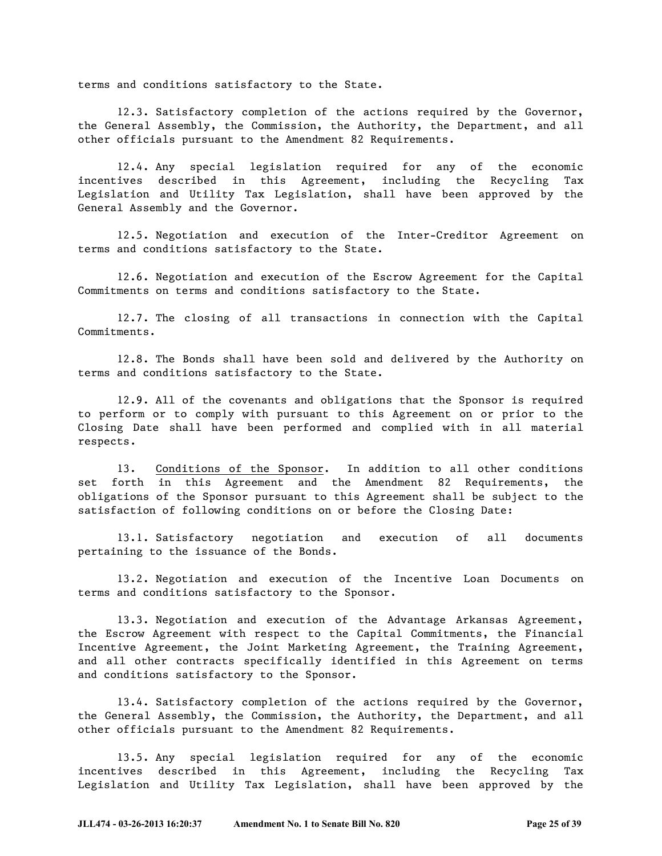terms and conditions satisfactory to the State.

12.3. Satisfactory completion of the actions required by the Governor, the General Assembly, the Commission, the Authority, the Department, and all other officials pursuant to the Amendment 82 Requirements.

12.4. Any special legislation required for any of the economic incentives described in this Agreement, including the Recycling Tax Legislation and Utility Tax Legislation, shall have been approved by the General Assembly and the Governor.

12.5. Negotiation and execution of the Inter-Creditor Agreement on terms and conditions satisfactory to the State.

12.6. Negotiation and execution of the Escrow Agreement for the Capital Commitments on terms and conditions satisfactory to the State.

12.7. The closing of all transactions in connection with the Capital Commitments.

12.8. The Bonds shall have been sold and delivered by the Authority on terms and conditions satisfactory to the State.

12.9. All of the covenants and obligations that the Sponsor is required to perform or to comply with pursuant to this Agreement on or prior to the Closing Date shall have been performed and complied with in all material respects.

13. Conditions of the Sponsor. In addition to all other conditions set forth in this Agreement and the Amendment 82 Requirements, the obligations of the Sponsor pursuant to this Agreement shall be subject to the satisfaction of following conditions on or before the Closing Date:

13.1. Satisfactory negotiation and execution of all documents pertaining to the issuance of the Bonds.

13.2. Negotiation and execution of the Incentive Loan Documents on terms and conditions satisfactory to the Sponsor.

13.3. Negotiation and execution of the Advantage Arkansas Agreement, the Escrow Agreement with respect to the Capital Commitments, the Financial Incentive Agreement, the Joint Marketing Agreement, the Training Agreement, and all other contracts specifically identified in this Agreement on terms and conditions satisfactory to the Sponsor.

13.4. Satisfactory completion of the actions required by the Governor, the General Assembly, the Commission, the Authority, the Department, and all other officials pursuant to the Amendment 82 Requirements.

13.5. Any special legislation required for any of the economic incentives described in this Agreement, including the Recycling Tax Legislation and Utility Tax Legislation, shall have been approved by the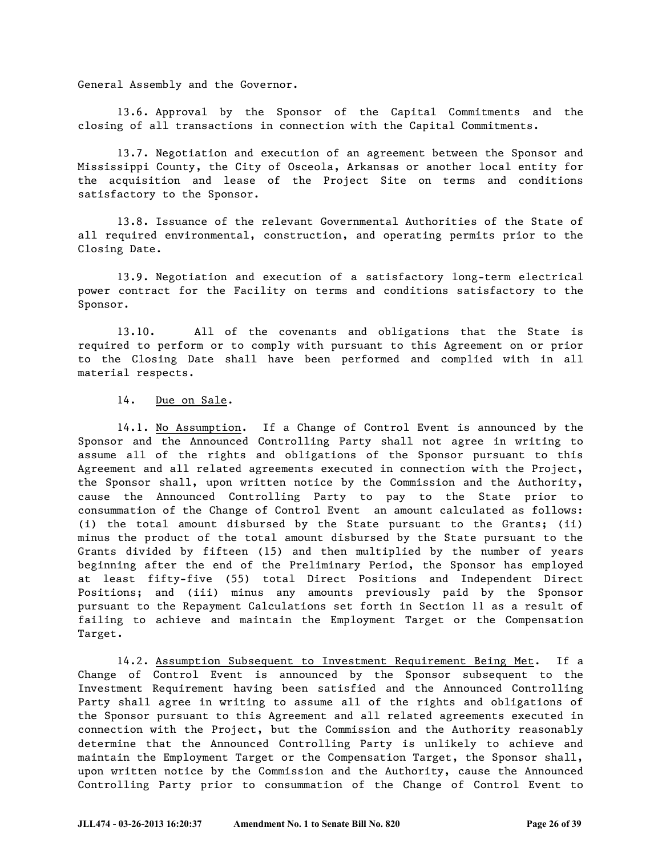General Assembly and the Governor.

13.6. Approval by the Sponsor of the Capital Commitments and the closing of all transactions in connection with the Capital Commitments.

13.7. Negotiation and execution of an agreement between the Sponsor and Mississippi County, the City of Osceola, Arkansas or another local entity for the acquisition and lease of the Project Site on terms and conditions satisfactory to the Sponsor.

13.8. Issuance of the relevant Governmental Authorities of the State of all required environmental, construction, and operating permits prior to the Closing Date.

13.9. Negotiation and execution of a satisfactory long-term electrical power contract for the Facility on terms and conditions satisfactory to the Sponsor.

13.10. All of the covenants and obligations that the State is required to perform or to comply with pursuant to this Agreement on or prior to the Closing Date shall have been performed and complied with in all material respects.

#### 14. Due on Sale.

14.1. No Assumption. If a Change of Control Event is announced by the Sponsor and the Announced Controlling Party shall not agree in writing to assume all of the rights and obligations of the Sponsor pursuant to this Agreement and all related agreements executed in connection with the Project, the Sponsor shall, upon written notice by the Commission and the Authority, cause the Announced Controlling Party to pay to the State prior to consummation of the Change of Control Event an amount calculated as follows: (i) the total amount disbursed by the State pursuant to the Grants; (ii) minus the product of the total amount disbursed by the State pursuant to the Grants divided by fifteen (15) and then multiplied by the number of years beginning after the end of the Preliminary Period, the Sponsor has employed at least fifty-five (55) total Direct Positions and Independent Direct Positions; and (iii) minus any amounts previously paid by the Sponsor pursuant to the Repayment Calculations set forth in Section 11 as a result of failing to achieve and maintain the Employment Target or the Compensation Target.

14.2. Assumption Subsequent to Investment Requirement Being Met. If a Change of Control Event is announced by the Sponsor subsequent to the Investment Requirement having been satisfied and the Announced Controlling Party shall agree in writing to assume all of the rights and obligations of the Sponsor pursuant to this Agreement and all related agreements executed in connection with the Project, but the Commission and the Authority reasonably determine that the Announced Controlling Party is unlikely to achieve and maintain the Employment Target or the Compensation Target, the Sponsor shall, upon written notice by the Commission and the Authority, cause the Announced Controlling Party prior to consummation of the Change of Control Event to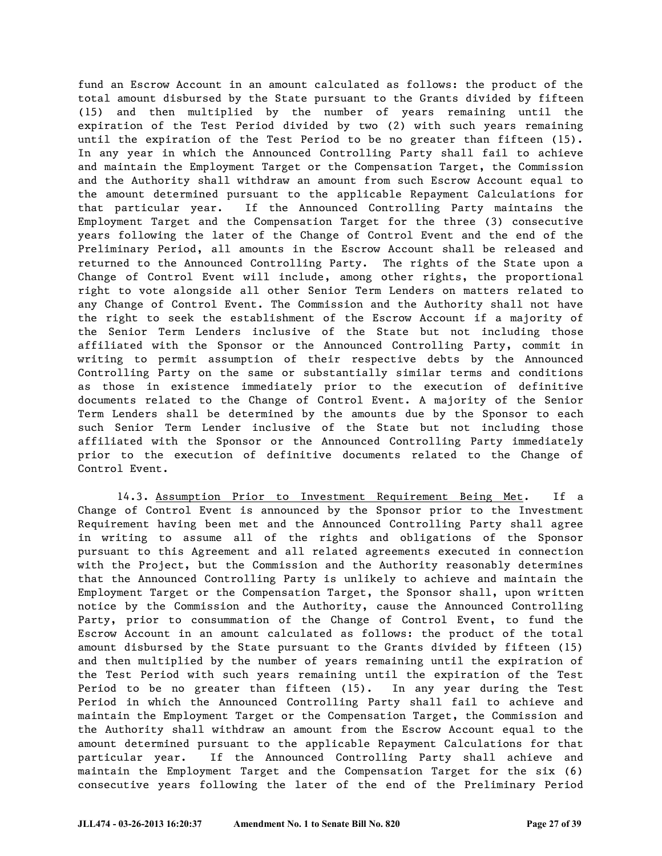fund an Escrow Account in an amount calculated as follows: the product of the total amount disbursed by the State pursuant to the Grants divided by fifteen (15) and then multiplied by the number of years remaining until the expiration of the Test Period divided by two (2) with such years remaining until the expiration of the Test Period to be no greater than fifteen (15). In any year in which the Announced Controlling Party shall fail to achieve and maintain the Employment Target or the Compensation Target, the Commission and the Authority shall withdraw an amount from such Escrow Account equal to the amount determined pursuant to the applicable Repayment Calculations for that particular year. If the Announced Controlling Party maintains the Employment Target and the Compensation Target for the three (3) consecutive years following the later of the Change of Control Event and the end of the Preliminary Period, all amounts in the Escrow Account shall be released and returned to the Announced Controlling Party. The rights of the State upon a Change of Control Event will include, among other rights, the proportional right to vote alongside all other Senior Term Lenders on matters related to any Change of Control Event. The Commission and the Authority shall not have the right to seek the establishment of the Escrow Account if a majority of the Senior Term Lenders inclusive of the State but not including those affiliated with the Sponsor or the Announced Controlling Party, commit in writing to permit assumption of their respective debts by the Announced Controlling Party on the same or substantially similar terms and conditions as those in existence immediately prior to the execution of definitive documents related to the Change of Control Event. A majority of the Senior Term Lenders shall be determined by the amounts due by the Sponsor to each such Senior Term Lender inclusive of the State but not including those affiliated with the Sponsor or the Announced Controlling Party immediately prior to the execution of definitive documents related to the Change of Control Event.

14.3. Assumption Prior to Investment Requirement Being Met. If a Change of Control Event is announced by the Sponsor prior to the Investment Requirement having been met and the Announced Controlling Party shall agree in writing to assume all of the rights and obligations of the Sponsor pursuant to this Agreement and all related agreements executed in connection with the Project, but the Commission and the Authority reasonably determines that the Announced Controlling Party is unlikely to achieve and maintain the Employment Target or the Compensation Target, the Sponsor shall, upon written notice by the Commission and the Authority, cause the Announced Controlling Party, prior to consummation of the Change of Control Event, to fund the Escrow Account in an amount calculated as follows: the product of the total amount disbursed by the State pursuant to the Grants divided by fifteen (15) and then multiplied by the number of years remaining until the expiration of the Test Period with such years remaining until the expiration of the Test Period to be no greater than fifteen (15). In any year during the Test Period in which the Announced Controlling Party shall fail to achieve and maintain the Employment Target or the Compensation Target, the Commission and the Authority shall withdraw an amount from the Escrow Account equal to the amount determined pursuant to the applicable Repayment Calculations for that particular year. If the Announced Controlling Party shall achieve and maintain the Employment Target and the Compensation Target for the six (6) consecutive years following the later of the end of the Preliminary Period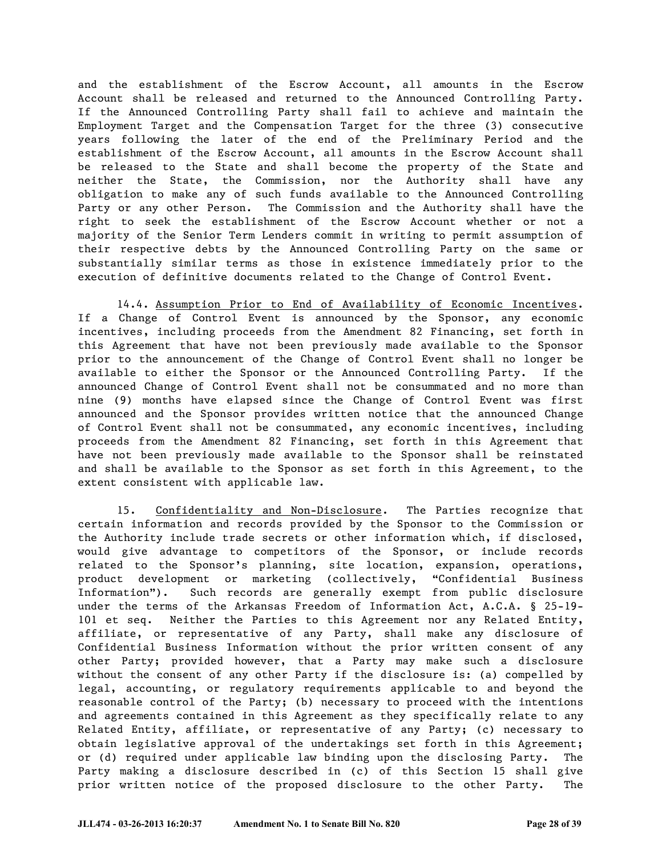and the establishment of the Escrow Account, all amounts in the Escrow Account shall be released and returned to the Announced Controlling Party. If the Announced Controlling Party shall fail to achieve and maintain the Employment Target and the Compensation Target for the three (3) consecutive years following the later of the end of the Preliminary Period and the establishment of the Escrow Account, all amounts in the Escrow Account shall be released to the State and shall become the property of the State and neither the State, the Commission, nor the Authority shall have any obligation to make any of such funds available to the Announced Controlling Party or any other Person. The Commission and the Authority shall have the right to seek the establishment of the Escrow Account whether or not a majority of the Senior Term Lenders commit in writing to permit assumption of their respective debts by the Announced Controlling Party on the same or substantially similar terms as those in existence immediately prior to the execution of definitive documents related to the Change of Control Event.

14.4. Assumption Prior to End of Availability of Economic Incentives. If a Change of Control Event is announced by the Sponsor, any economic incentives, including proceeds from the Amendment 82 Financing, set forth in this Agreement that have not been previously made available to the Sponsor prior to the announcement of the Change of Control Event shall no longer be available to either the Sponsor or the Announced Controlling Party. If the announced Change of Control Event shall not be consummated and no more than nine (9) months have elapsed since the Change of Control Event was first announced and the Sponsor provides written notice that the announced Change of Control Event shall not be consummated, any economic incentives, including proceeds from the Amendment 82 Financing, set forth in this Agreement that have not been previously made available to the Sponsor shall be reinstated and shall be available to the Sponsor as set forth in this Agreement, to the extent consistent with applicable law.

15. Confidentiality and Non-Disclosure. The Parties recognize that certain information and records provided by the Sponsor to the Commission or the Authority include trade secrets or other information which, if disclosed, would give advantage to competitors of the Sponsor, or include records related to the Sponsor's planning, site location, expansion, operations, product development or marketing (collectively, "Confidential Business Information"). Such records are generally exempt from public disclosure under the terms of the Arkansas Freedom of Information Act, A.C.A. § 25-19- 101 et seq. Neither the Parties to this Agreement nor any Related Entity, affiliate, or representative of any Party, shall make any disclosure of Confidential Business Information without the prior written consent of any other Party; provided however, that a Party may make such a disclosure without the consent of any other Party if the disclosure is: (a) compelled by legal, accounting, or regulatory requirements applicable to and beyond the reasonable control of the Party; (b) necessary to proceed with the intentions and agreements contained in this Agreement as they specifically relate to any Related Entity, affiliate, or representative of any Party; (c) necessary to obtain legislative approval of the undertakings set forth in this Agreement; or (d) required under applicable law binding upon the disclosing Party. The Party making a disclosure described in (c) of this Section 15 shall give prior written notice of the proposed disclosure to the other Party. The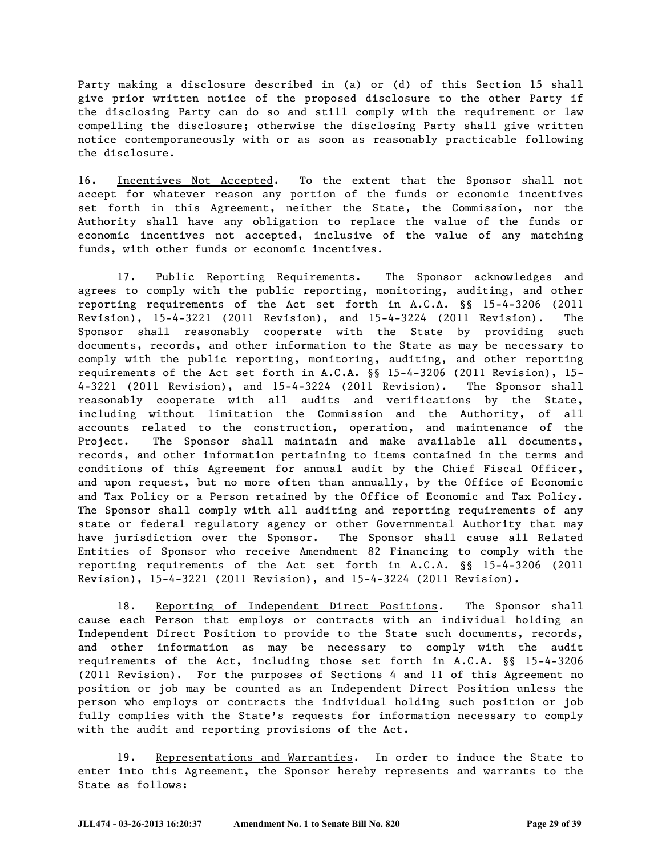Party making a disclosure described in (a) or (d) of this Section 15 shall give prior written notice of the proposed disclosure to the other Party if the disclosing Party can do so and still comply with the requirement or law compelling the disclosure; otherwise the disclosing Party shall give written notice contemporaneously with or as soon as reasonably practicable following the disclosure.

16. Incentives Not Accepted. To the extent that the Sponsor shall not accept for whatever reason any portion of the funds or economic incentives set forth in this Agreement, neither the State, the Commission, nor the Authority shall have any obligation to replace the value of the funds or economic incentives not accepted, inclusive of the value of any matching funds, with other funds or economic incentives.

17. Public Reporting Requirements. The Sponsor acknowledges and agrees to comply with the public reporting, monitoring, auditing, and other reporting requirements of the Act set forth in A.C.A. §§ 15-4-3206 (2011 Revision), 15-4-3221 (2011 Revision), and 15-4-3224 (2011 Revision). The Sponsor shall reasonably cooperate with the State by providing such documents, records, and other information to the State as may be necessary to comply with the public reporting, monitoring, auditing, and other reporting requirements of the Act set forth in A.C.A. §§ 15-4-3206 (2011 Revision), 15- 4-3221 (2011 Revision), and 15-4-3224 (2011 Revision). The Sponsor shall reasonably cooperate with all audits and verifications by the State, including without limitation the Commission and the Authority, of all accounts related to the construction, operation, and maintenance of the Project. The Sponsor shall maintain and make available all documents, records, and other information pertaining to items contained in the terms and conditions of this Agreement for annual audit by the Chief Fiscal Officer, and upon request, but no more often than annually, by the Office of Economic and Tax Policy or a Person retained by the Office of Economic and Tax Policy. The Sponsor shall comply with all auditing and reporting requirements of any state or federal regulatory agency or other Governmental Authority that may have jurisdiction over the Sponsor. The Sponsor shall cause all Related Entities of Sponsor who receive Amendment 82 Financing to comply with the reporting requirements of the Act set forth in A.C.A. §§ 15-4-3206 (2011 Revision), 15-4-3221 (2011 Revision), and 15-4-3224 (2011 Revision).

18. Reporting of Independent Direct Positions. The Sponsor shall cause each Person that employs or contracts with an individual holding an Independent Direct Position to provide to the State such documents, records, and other information as may be necessary to comply with the audit requirements of the Act, including those set forth in A.C.A. §§ 15-4-3206 (2011 Revision). For the purposes of Sections 4 and 11 of this Agreement no position or job may be counted as an Independent Direct Position unless the person who employs or contracts the individual holding such position or job fully complies with the State's requests for information necessary to comply with the audit and reporting provisions of the Act.

19. Representations and Warranties. In order to induce the State to enter into this Agreement, the Sponsor hereby represents and warrants to the State as follows: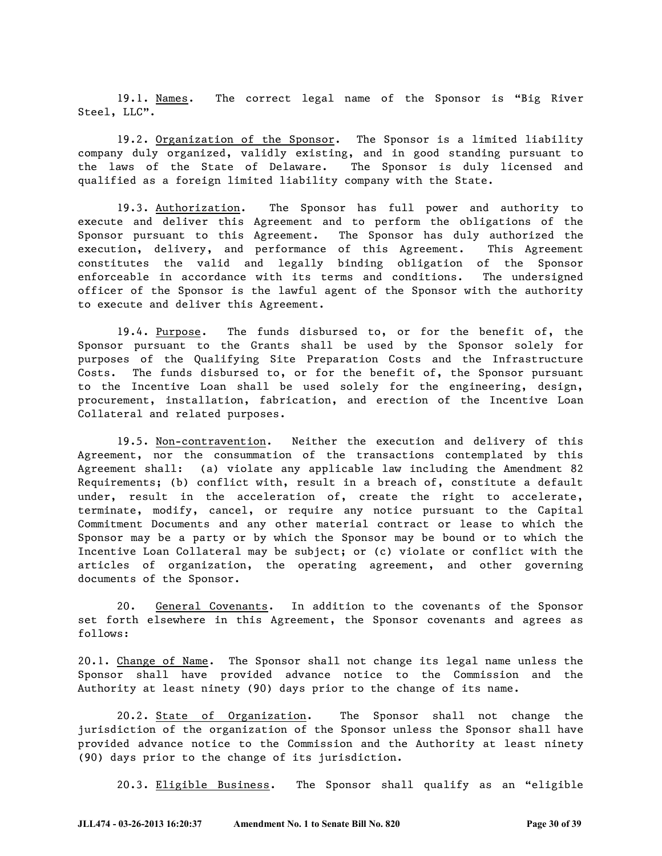19.1. Names. The correct legal name of the Sponsor is "Big River Steel, LLC".

19.2. Organization of the Sponsor. The Sponsor is a limited liability company duly organized, validly existing, and in good standing pursuant to the laws of the State of Delaware. The Sponsor is duly licensed and qualified as a foreign limited liability company with the State.

19.3. Authorization. The Sponsor has full power and authority to execute and deliver this Agreement and to perform the obligations of the Sponsor pursuant to this Agreement. The Sponsor has duly authorized the execution, delivery, and performance of this Agreement. This Agreement constitutes the valid and legally binding obligation of the Sponsor enforceable in accordance with its terms and conditions. The undersigned officer of the Sponsor is the lawful agent of the Sponsor with the authority to execute and deliver this Agreement.

19.4. Purpose. The funds disbursed to, or for the benefit of, the Sponsor pursuant to the Grants shall be used by the Sponsor solely for purposes of the Qualifying Site Preparation Costs and the Infrastructure Costs. The funds disbursed to, or for the benefit of, the Sponsor pursuant to the Incentive Loan shall be used solely for the engineering, design, procurement, installation, fabrication, and erection of the Incentive Loan Collateral and related purposes.

19.5. Non-contravention. Neither the execution and delivery of this Agreement, nor the consummation of the transactions contemplated by this Agreement shall: (a) violate any applicable law including the Amendment 82 Requirements; (b) conflict with, result in a breach of, constitute a default under, result in the acceleration of, create the right to accelerate, terminate, modify, cancel, or require any notice pursuant to the Capital Commitment Documents and any other material contract or lease to which the Sponsor may be a party or by which the Sponsor may be bound or to which the Incentive Loan Collateral may be subject; or (c) violate or conflict with the articles of organization, the operating agreement, and other governing documents of the Sponsor.

20. General Covenants. In addition to the covenants of the Sponsor set forth elsewhere in this Agreement, the Sponsor covenants and agrees as follows:

20.1. Change of Name. The Sponsor shall not change its legal name unless the Sponsor shall have provided advance notice to the Commission and the Authority at least ninety (90) days prior to the change of its name.

20.2. State of Organization. The Sponsor shall not change the jurisdiction of the organization of the Sponsor unless the Sponsor shall have provided advance notice to the Commission and the Authority at least ninety (90) days prior to the change of its jurisdiction.

20.3. Eligible Business. The Sponsor shall qualify as an "eligible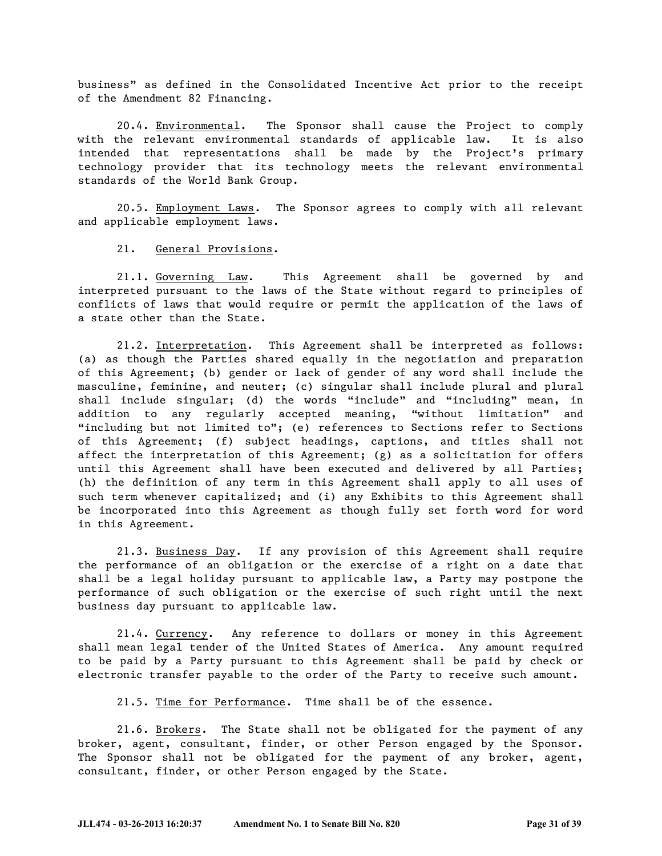business" as defined in the Consolidated Incentive Act prior to the receipt of the Amendment 82 Financing.

20.4. Environmental. The Sponsor shall cause the Project to comply with the relevant environmental standards of applicable law. It is also intended that representations shall be made by the Project's primary technology provider that its technology meets the relevant environmental standards of the World Bank Group.

20.5. Employment Laws. The Sponsor agrees to comply with all relevant and applicable employment laws.

#### 21. General Provisions.

21.1. Governing Law. This Agreement shall be governed by and interpreted pursuant to the laws of the State without regard to principles of conflicts of laws that would require or permit the application of the laws of a state other than the State.

21.2. Interpretation. This Agreement shall be interpreted as follows: (a) as though the Parties shared equally in the negotiation and preparation of this Agreement; (b) gender or lack of gender of any word shall include the masculine, feminine, and neuter; (c) singular shall include plural and plural shall include singular; (d) the words "include" and "including" mean, in addition to any regularly accepted meaning, "without limitation" and "including but not limited to"; (e) references to Sections refer to Sections of this Agreement; (f) subject headings, captions, and titles shall not affect the interpretation of this Agreement; (g) as a solicitation for offers until this Agreement shall have been executed and delivered by all Parties; (h) the definition of any term in this Agreement shall apply to all uses of such term whenever capitalized; and (i) any Exhibits to this Agreement shall be incorporated into this Agreement as though fully set forth word for word in this Agreement.

21.3. Business Day. If any provision of this Agreement shall require the performance of an obligation or the exercise of a right on a date that shall be a legal holiday pursuant to applicable law, a Party may postpone the performance of such obligation or the exercise of such right until the next business day pursuant to applicable law.

21.4. Currency. Any reference to dollars or money in this Agreement shall mean legal tender of the United States of America. Any amount required to be paid by a Party pursuant to this Agreement shall be paid by check or electronic transfer payable to the order of the Party to receive such amount.

21.5. Time for Performance. Time shall be of the essence.

21.6. Brokers. The State shall not be obligated for the payment of any broker, agent, consultant, finder, or other Person engaged by the Sponsor. The Sponsor shall not be obligated for the payment of any broker, agent, consultant, finder, or other Person engaged by the State.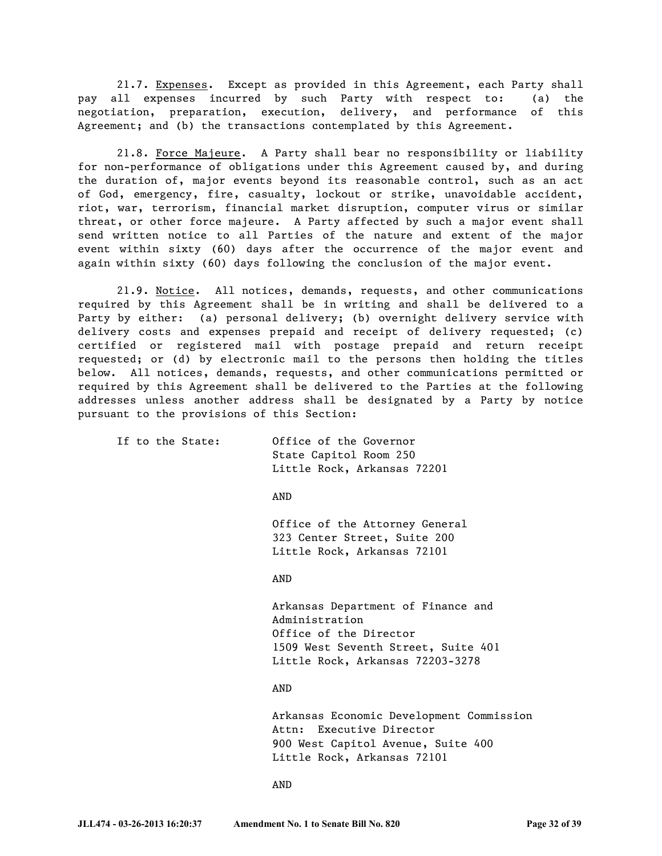21.7. Expenses. Except as provided in this Agreement, each Party shall pay all expenses incurred by such Party with respect to: (a) the negotiation, preparation, execution, delivery, and performance of this Agreement; and (b) the transactions contemplated by this Agreement.

21.8. Force Majeure. A Party shall bear no responsibility or liability for non-performance of obligations under this Agreement caused by, and during the duration of, major events beyond its reasonable control, such as an act of God, emergency, fire, casualty, lockout or strike, unavoidable accident, riot, war, terrorism, financial market disruption, computer virus or similar threat, or other force majeure. A Party affected by such a major event shall send written notice to all Parties of the nature and extent of the major event within sixty (60) days after the occurrence of the major event and again within sixty (60) days following the conclusion of the major event.

21.9. Notice. All notices, demands, requests, and other communications required by this Agreement shall be in writing and shall be delivered to a Party by either: (a) personal delivery; (b) overnight delivery service with delivery costs and expenses prepaid and receipt of delivery requested; (c) certified or registered mail with postage prepaid and return receipt requested; or (d) by electronic mail to the persons then holding the titles below. All notices, demands, requests, and other communications permitted or required by this Agreement shall be delivered to the Parties at the following addresses unless another address shall be designated by a Party by notice pursuant to the provisions of this Section:

| If to the State: | Office of the Governor<br>State Capitol Room 250<br>Little Rock, Arkansas 72201               |
|------------------|-----------------------------------------------------------------------------------------------|
|                  | AND                                                                                           |
|                  | Office of the Attorney General<br>323 Center Street, Suite 200<br>Little Rock, Arkansas 72101 |
|                  |                                                                                               |

Arkansas Department of Finance and Administration Office of the Director 1509 West Seventh Street, Suite 401 Little Rock, Arkansas 72203-3278

AND

Arkansas Economic Development Commission Attn: Executive Director 900 West Capitol Avenue, Suite 400 Little Rock, Arkansas 72101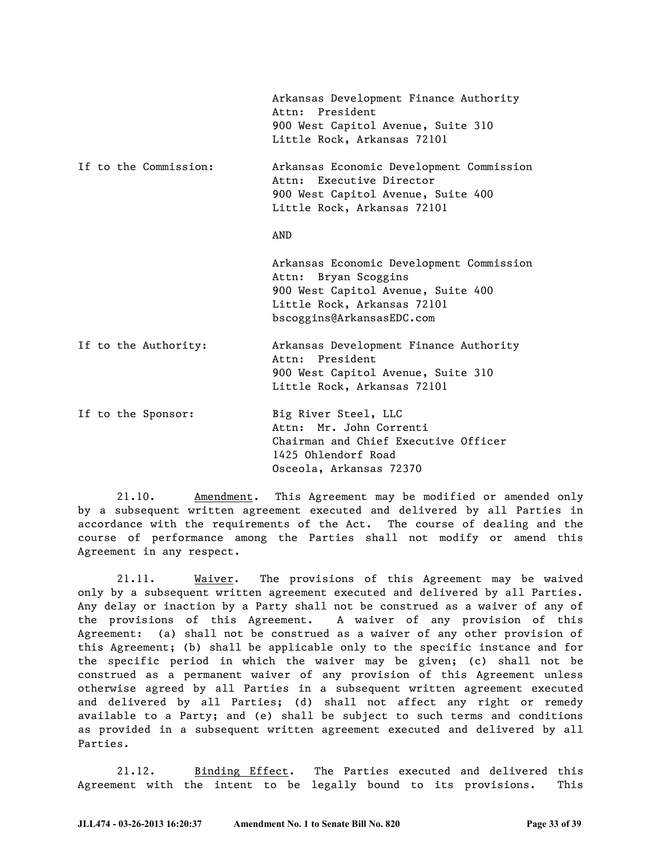|                       | Arkansas Development Finance Authority<br>Attn: President<br>900 West Capitol Avenue, Suite 310<br>Little Rock, Arkansas 72101                                     |
|-----------------------|--------------------------------------------------------------------------------------------------------------------------------------------------------------------|
| If to the Commission: | Arkansas Economic Development Commission<br>Attn: Executive Director<br>900 West Capitol Avenue, Suite 400<br>Little Rock, Arkansas 72101                          |
|                       | AND                                                                                                                                                                |
|                       | Arkansas Economic Development Commission<br>Attn: Bryan Scoggins<br>900 West Capitol Avenue, Suite 400<br>Little Rock, Arkansas 72101<br>bscoggins@ArkansasEDC.com |
| If to the Authority:  | Arkansas Development Finance Authority<br>President<br>Attn:<br>900 West Capitol Avenue, Suite 310<br>Little Rock, Arkansas 72101                                  |
| If to the Sponsor:    | Big River Steel, LLC<br>Attn: Mr. John Correnti<br>Chairman and Chief Executive Officer<br>1425 Ohlendorf Road<br>Osceola, Arkansas 72370                          |

21.10. Amendment. This Agreement may be modified or amended only by a subsequent written agreement executed and delivered by all Parties in accordance with the requirements of the Act. The course of dealing and the course of performance among the Parties shall not modify or amend this Agreement in any respect.

21.11. Waiver. The provisions of this Agreement may be waived only by a subsequent written agreement executed and delivered by all Parties. Any delay or inaction by a Party shall not be construed as a waiver of any of the provisions of this Agreement. A waiver of any provision of this Agreement: (a) shall not be construed as a waiver of any other provision of this Agreement; (b) shall be applicable only to the specific instance and for the specific period in which the waiver may be given; (c) shall not be construed as a permanent waiver of any provision of this Agreement unless otherwise agreed by all Parties in a subsequent written agreement executed and delivered by all Parties; (d) shall not affect any right or remedy available to a Party; and (e) shall be subject to such terms and conditions as provided in a subsequent written agreement executed and delivered by all Parties.

21.12. Binding Effect. The Parties executed and delivered this Agreement with the intent to be legally bound to its provisions. This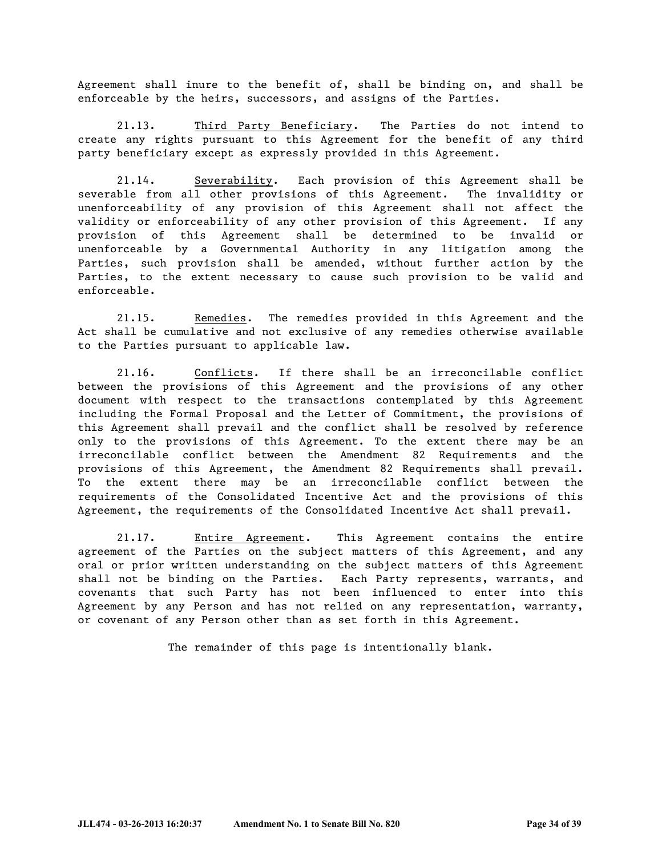Agreement shall inure to the benefit of, shall be binding on, and shall be enforceable by the heirs, successors, and assigns of the Parties.

21.13. Third Party Beneficiary. The Parties do not intend to create any rights pursuant to this Agreement for the benefit of any third party beneficiary except as expressly provided in this Agreement.

21.14. Severability. Each provision of this Agreement shall be severable from all other provisions of this Agreement. The invalidity or unenforceability of any provision of this Agreement shall not affect the validity or enforceability of any other provision of this Agreement. If any provision of this Agreement shall be determined to be invalid or unenforceable by a Governmental Authority in any litigation among the Parties, such provision shall be amended, without further action by the Parties, to the extent necessary to cause such provision to be valid and enforceable.

21.15. Remedies. The remedies provided in this Agreement and the Act shall be cumulative and not exclusive of any remedies otherwise available to the Parties pursuant to applicable law.

21.16. Conflicts. If there shall be an irreconcilable conflict between the provisions of this Agreement and the provisions of any other document with respect to the transactions contemplated by this Agreement including the Formal Proposal and the Letter of Commitment, the provisions of this Agreement shall prevail and the conflict shall be resolved by reference only to the provisions of this Agreement. To the extent there may be an irreconcilable conflict between the Amendment 82 Requirements and the provisions of this Agreement, the Amendment 82 Requirements shall prevail. To the extent there may be an irreconcilable conflict between the requirements of the Consolidated Incentive Act and the provisions of this Agreement, the requirements of the Consolidated Incentive Act shall prevail.

21.17. Entire Agreement. This Agreement contains the entire agreement of the Parties on the subject matters of this Agreement, and any oral or prior written understanding on the subject matters of this Agreement shall not be binding on the Parties. Each Party represents, warrants, and covenants that such Party has not been influenced to enter into this Agreement by any Person and has not relied on any representation, warranty, or covenant of any Person other than as set forth in this Agreement.

The remainder of this page is intentionally blank.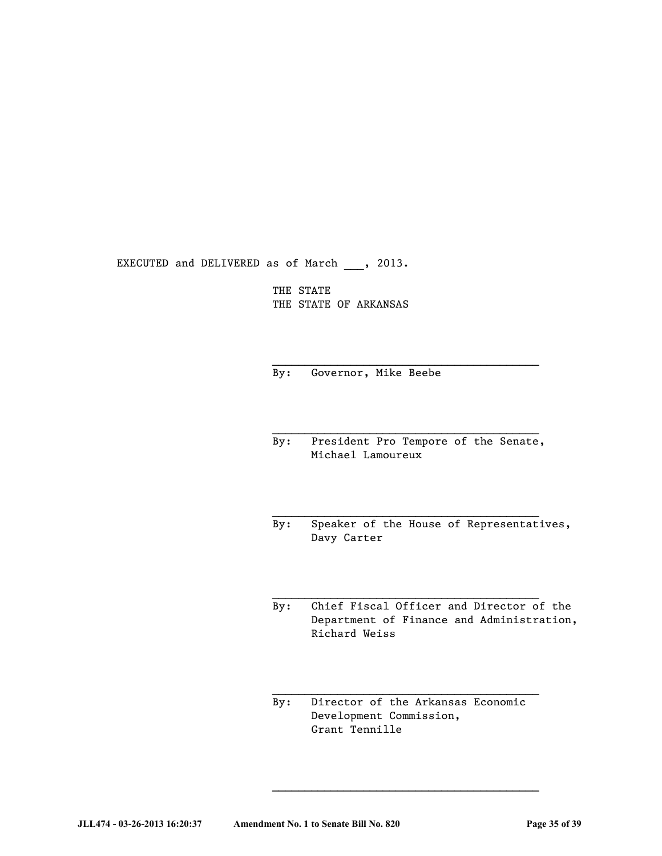EXECUTED and DELIVERED as of March , 2013.

THE STATE THE STATE OF ARKANSAS

By: Governor, Mike Beebe

By: President Pro Tempore of the Senate, Michael Lamoureux

 $\mathcal{L}_\text{max}$  and  $\mathcal{L}_\text{max}$  and  $\mathcal{L}_\text{max}$ 

By: Speaker of the House of Representatives, Davy Carter

By: Chief Fiscal Officer and Director of the Department of Finance and Administration, Richard Weiss

 $\mathcal{L}_\text{max}$  and  $\mathcal{L}_\text{max}$  and  $\mathcal{L}_\text{max}$ 

By: Director of the Arkansas Economic Development Commission, Grant Tennille

 $\mathcal{L}_\text{max}$  and  $\mathcal{L}_\text{max}$  and  $\mathcal{L}_\text{max}$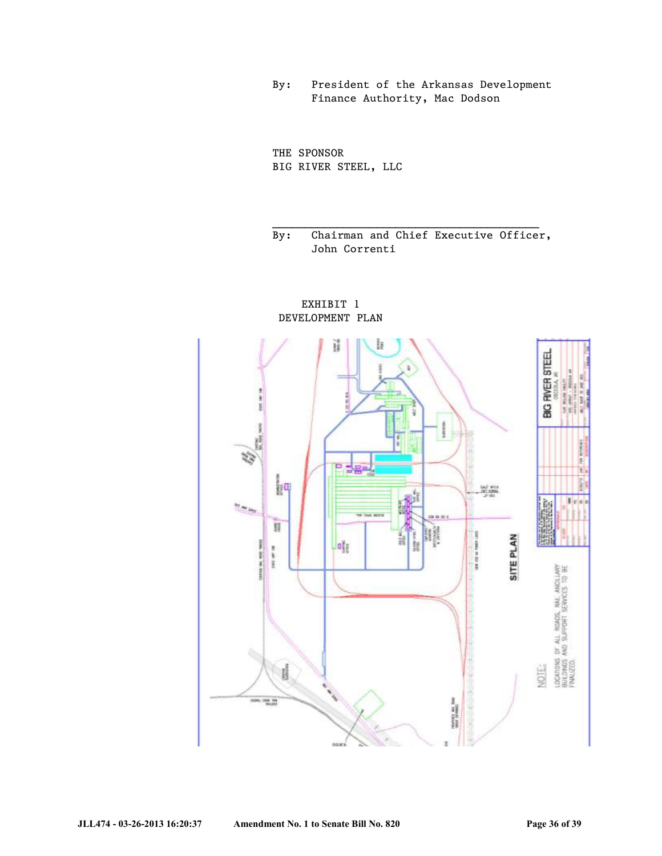By: President of the Arkansas Development Finance Authority, Mac Dodson

THE SPONSOR BIG RIVER STEEL, LLC

By: Chairman and Chief Executive Officer, John Correnti

EXHIBIT 1 DEVELOPMENT PLAN

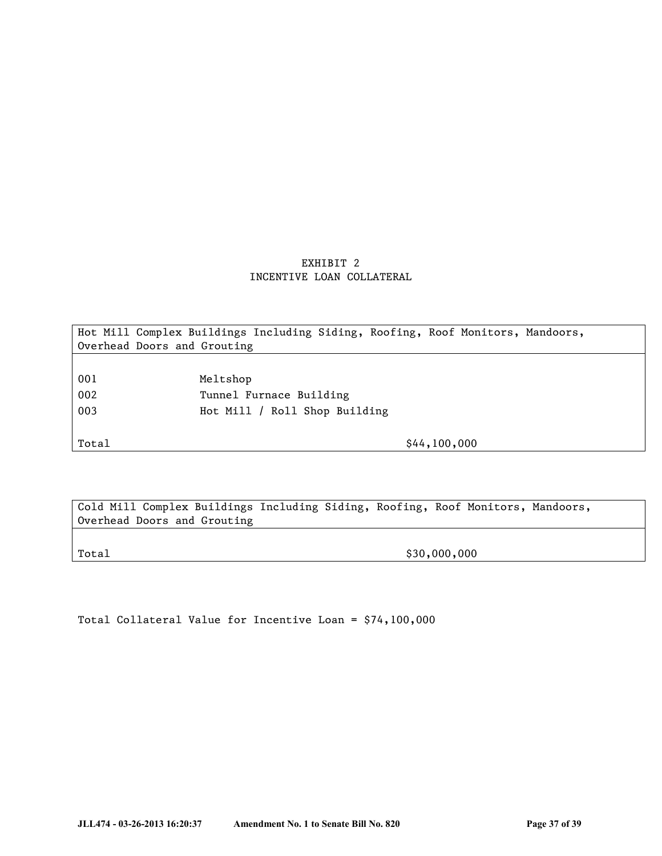## EXHIBIT 2 INCENTIVE LOAN COLLATERAL

Hot Mill Complex Buildings Including Siding, Roofing, Roof Monitors, Mandoors, Overhead Doors and Grouting

| 001 | Meltshop                      |
|-----|-------------------------------|
| 002 | Tunnel Furnace Building       |
| 003 | Hot Mill / Roll Shop Building |

Total \$44,100,000

Cold Mill Complex Buildings Including Siding, Roofing, Roof Monitors, Mandoors, Overhead Doors and Grouting

Total \$30,000,000 \$30,000,000

Total Collateral Value for Incentive Loan = \$74,100,000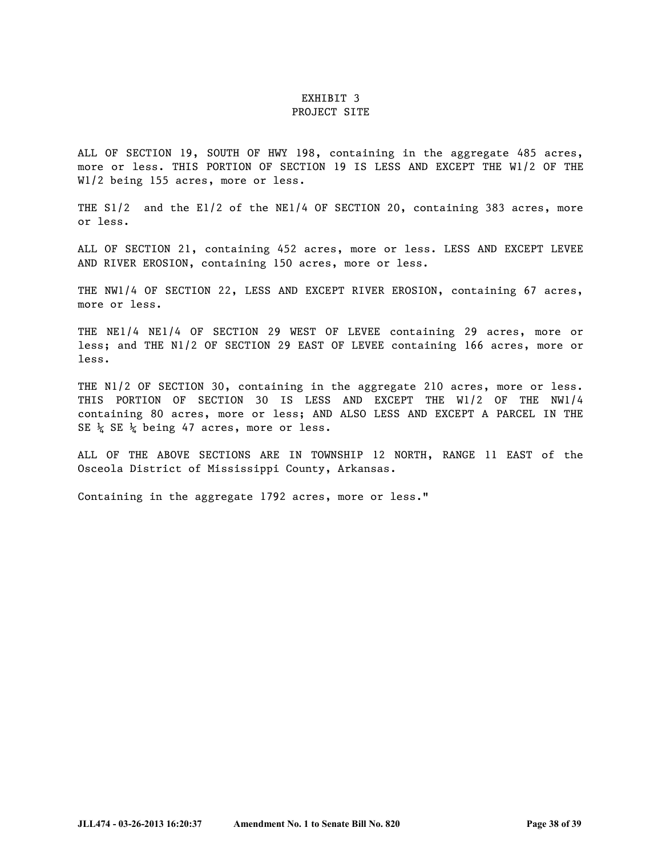## EXHIBIT 3

#### PROJECT SITE

ALL OF SECTION 19, SOUTH OF HWY 198, containing in the aggregate 485 acres, more or less. THIS PORTION OF SECTION 19 IS LESS AND EXCEPT THE W1/2 OF THE W1/2 being 155 acres, more or less.

THE S1/2 and the E1/2 of the NE1/4 OF SECTION 20, containing 383 acres, more or less.

ALL OF SECTION 21, containing 452 acres, more or less. LESS AND EXCEPT LEVEE AND RIVER EROSION, containing 150 acres, more or less.

THE NW1/4 OF SECTION 22, LESS AND EXCEPT RIVER EROSION, containing 67 acres, more or less.

THE NE1/4 NE1/4 OF SECTION 29 WEST OF LEVEE containing 29 acres, more or less; and THE N1/2 OF SECTION 29 EAST OF LEVEE containing 166 acres, more or less.

THE N1/2 OF SECTION 30, containing in the aggregate 210 acres, more or less. THIS PORTION OF SECTION 30 IS LESS AND EXCEPT THE W1/2 OF THE NW1/4 containing 80 acres, more or less; AND ALSO LESS AND EXCEPT A PARCEL IN THE SE  $\frac{1}{4}$  SE  $\frac{1}{4}$  being 47 acres, more or less.

ALL OF THE ABOVE SECTIONS ARE IN TOWNSHIP 12 NORTH, RANGE 11 EAST of the Osceola District of Mississippi County, Arkansas.

Containing in the aggregate 1792 acres, more or less."